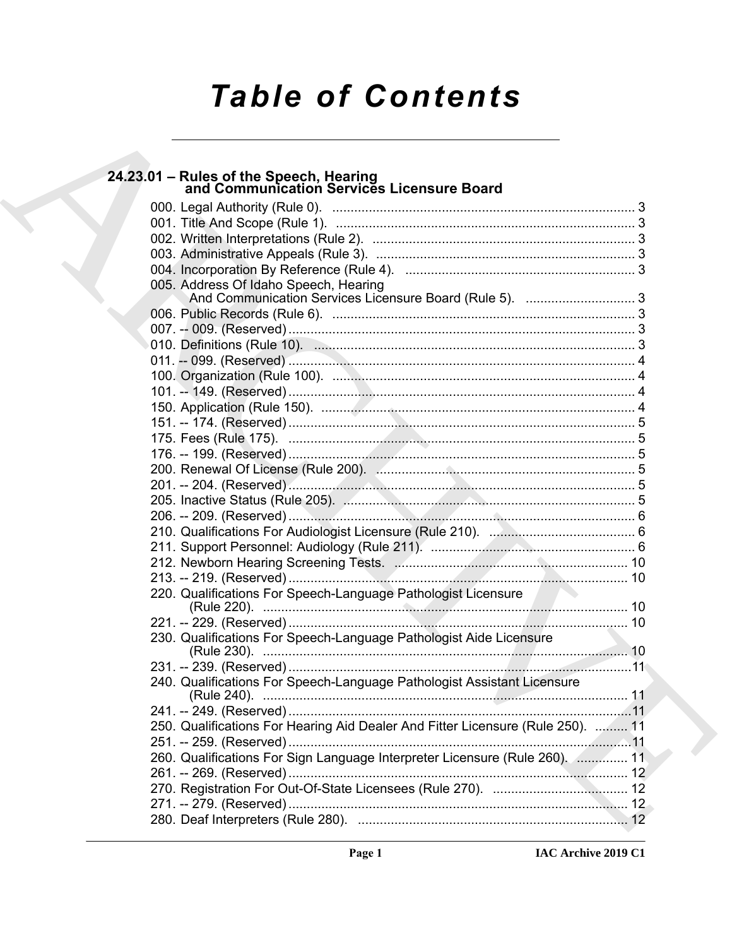# **Table of Contents**

| 24.23.01 - Rules of the Speech, Hearing<br>and Communication Services Licensure Board           |  |
|-------------------------------------------------------------------------------------------------|--|
|                                                                                                 |  |
|                                                                                                 |  |
|                                                                                                 |  |
|                                                                                                 |  |
|                                                                                                 |  |
| 005. Address Of Idaho Speech, Hearing<br>And Communication Services Licensure Board (Rule 5). 3 |  |
|                                                                                                 |  |
|                                                                                                 |  |
|                                                                                                 |  |
|                                                                                                 |  |
|                                                                                                 |  |
|                                                                                                 |  |
|                                                                                                 |  |
|                                                                                                 |  |
|                                                                                                 |  |
|                                                                                                 |  |
|                                                                                                 |  |
|                                                                                                 |  |
|                                                                                                 |  |
|                                                                                                 |  |
|                                                                                                 |  |
|                                                                                                 |  |
|                                                                                                 |  |
|                                                                                                 |  |
| 220. Qualifications For Speech-Language Pathologist Licensure                                   |  |
|                                                                                                 |  |
| 230. Qualifications For Speech-Language Pathologist Aide Licensure                              |  |
|                                                                                                 |  |
| 240. Qualifications For Speech-Language Pathologist Assistant Licensure                         |  |
|                                                                                                 |  |
| 250. Qualifications For Hearing Aid Dealer And Fitter Licensure (Rule 250).  11                 |  |
|                                                                                                 |  |
| 260. Qualifications For Sign Language Interpreter Licensure (Rule 260).  11                     |  |
|                                                                                                 |  |
|                                                                                                 |  |
|                                                                                                 |  |
|                                                                                                 |  |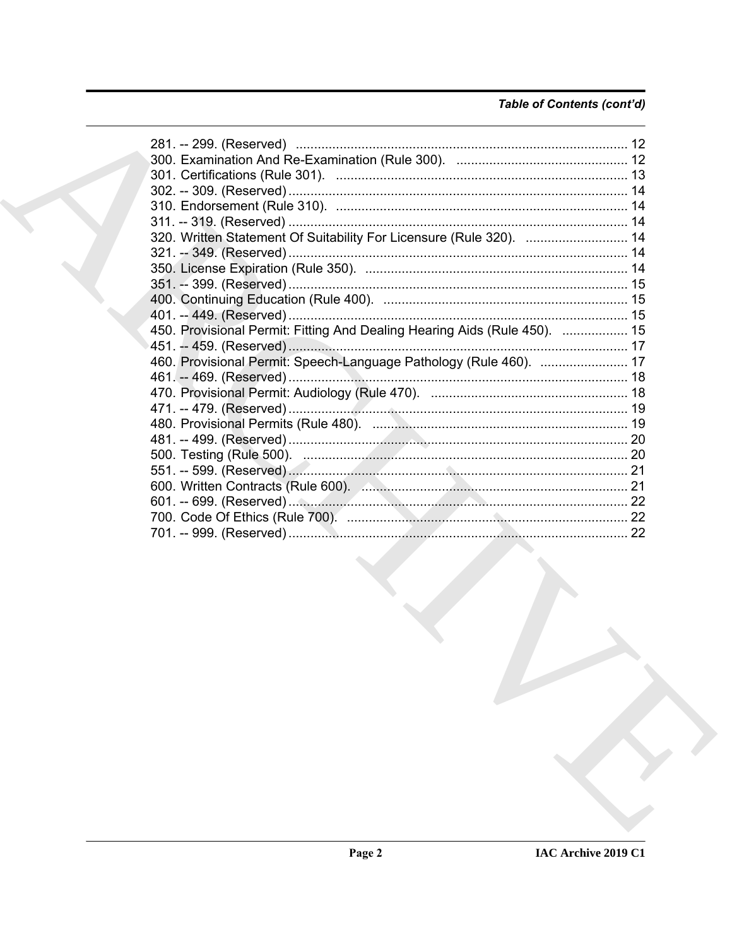# Table of Contents (cont'd)

| 320. Written Statement Of Suitability For Licensure (Rule 320).  14       |  |
|---------------------------------------------------------------------------|--|
|                                                                           |  |
|                                                                           |  |
|                                                                           |  |
|                                                                           |  |
|                                                                           |  |
| 450. Provisional Permit: Fitting And Dealing Hearing Aids (Rule 450).  15 |  |
|                                                                           |  |
| 460. Provisional Permit: Speech-Language Pathology (Rule 460).  17        |  |
|                                                                           |  |
|                                                                           |  |
|                                                                           |  |
|                                                                           |  |
|                                                                           |  |
|                                                                           |  |
|                                                                           |  |
|                                                                           |  |
|                                                                           |  |
|                                                                           |  |
|                                                                           |  |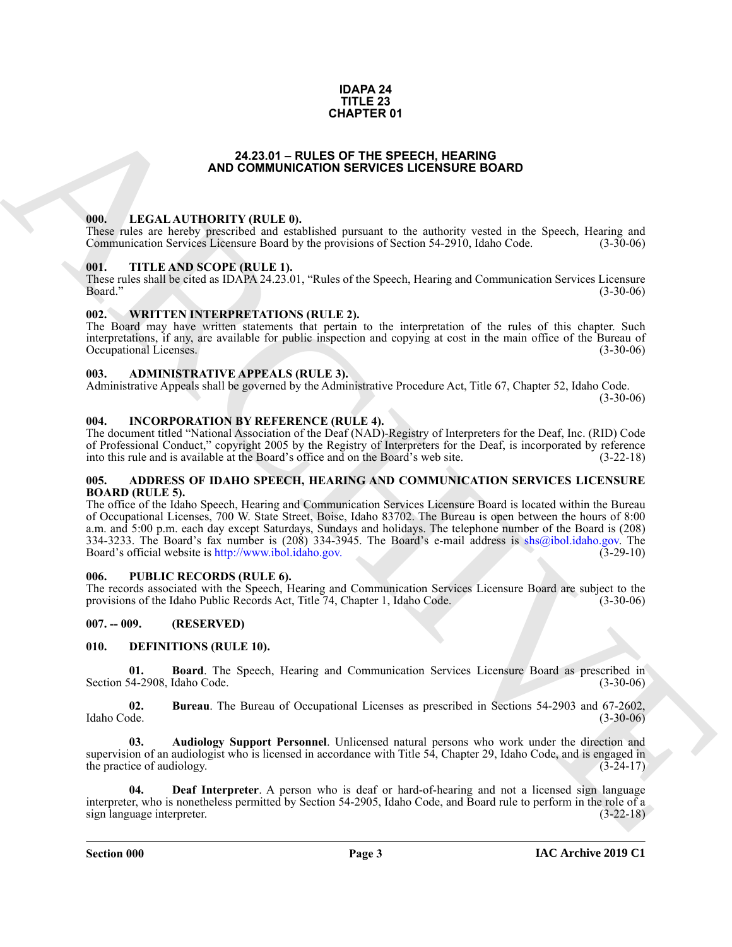#### **IDAPA 24 TITLE 23 CHAPTER 01**

#### **24.23.01 – RULES OF THE SPEECH, HEARING AND COMMUNICATION SERVICES LICENSURE BOARD**

#### <span id="page-2-18"></span><span id="page-2-1"></span><span id="page-2-0"></span>**000. LEGAL AUTHORITY (RULE 0).**

These rules are hereby prescribed and established pursuant to the authority vested in the Speech, Hearing and Communication Services Licensure Board by the provisions of Section 54-2910, Idaho Code. (3-30-06)

#### <span id="page-2-20"></span><span id="page-2-2"></span>**001. TITLE AND SCOPE (RULE 1).**

These rules shall be cited as IDAPA 24.23.01, "Rules of the Speech, Hearing and Communication Services Licensure Board." (3-30-06)

#### <span id="page-2-21"></span><span id="page-2-3"></span>**002. WRITTEN INTERPRETATIONS (RULE 2).**

The Board may have written statements that pertain to the interpretation of the rules of this chapter. Such interpretations, if any, are available for public inspection and copying at cost in the main office of the Bureau of Occupational Licenses. (3-30-06)

#### <span id="page-2-11"></span><span id="page-2-4"></span>**003. ADMINISTRATIVE APPEALS (RULE 3).**

Administrative Appeals shall be governed by the Administrative Procedure Act, Title 67, Chapter 52, Idaho Code.

 $(3-30-06)$ 

#### <span id="page-2-17"></span><span id="page-2-5"></span>**004. INCORPORATION BY REFERENCE (RULE 4).**

The document titled "National Association of the Deaf (NAD)-Registry of Interpreters for the Deaf, Inc. (RID) Code of Professional Conduct," copyright 2005 by the Registry of Interpreters for the Deaf, is incorporated by reference into this rule and is available at the Board's office and on the Board's web site. (3-22-18)

#### <span id="page-2-10"></span><span id="page-2-6"></span>**005. ADDRESS OF IDAHO SPEECH, HEARING AND COMMUNICATION SERVICES LICENSURE BOARD (RULE 5).**

**C[H](http://www.ibol.idaho.gov)APTER 01**<br> **ARCH[I](mailto:shs@ibol.idaho.gov)VES COMMUNICATION SERVICES LUCENSIDES BOARD<br>
1980. LEVELAT AITHORITY (RILLE A).<br>
These responses to converge the convergence of the convergence of the services of the services of the services of the se** The office of the Idaho Speech, Hearing and Communication Services Licensure Board is located within the Bureau of Occupational Licenses, 700 W. State Street, Boise, Idaho 83702. The Bureau is open between the hours of 8:00 a.m. and 5:00 p.m. each day except Saturdays, Sundays and holidays. The telephone number of the Board is (208) 334-3233. The Board's fax number is (208) 334-3945. The Board's e-mail address is shs@ibol.idaho.gov. The Board's official website is http://www.ibol.idaho.gov. (3-29-10)

#### <span id="page-2-19"></span><span id="page-2-7"></span>**006. PUBLIC RECORDS (RULE 6).**

The records associated with the Speech, Hearing and Communication Services Licensure Board are subject to the provisions of the Idaho Public Records Act, Title 74, Chapter 1, Idaho Code. (3-30-06) provisions of the Idaho Public Records Act, Title 74, Chapter 1, Idaho Code.

### <span id="page-2-8"></span>**007. -- 009. (RESERVED)**

#### <span id="page-2-12"></span><span id="page-2-9"></span>**010. DEFINITIONS (RULE 10).**

<span id="page-2-14"></span>**01. Board**. The Speech, Hearing and Communication Services Licensure Board as prescribed in 54-2908 Idaho Code. (3-30-06) Section 54-2908, Idaho Code.

<span id="page-2-15"></span>**02.** Bureau. The Bureau of Occupational Licenses as prescribed in Sections 54-2903 and 67-2602, Idaho Code. (3-30-06) Idaho Code. (3-30-06)

<span id="page-2-13"></span>**03. Audiology Support Personnel**. Unlicensed natural persons who work under the direction and supervision of an audiologist who is licensed in accordance with Title 54, Chapter 29, Idaho Code, and is engaged in the practice of audiology.  $(3-24-17)$ 

<span id="page-2-16"></span>**04. Deaf Interpreter**. A person who is deaf or hard-of-hearing and not a licensed sign language interpreter, who is nonetheless permitted by Section 54-2905, Idaho Code, and Board rule to perform in the role of a sign language interpreter. (3-22-18)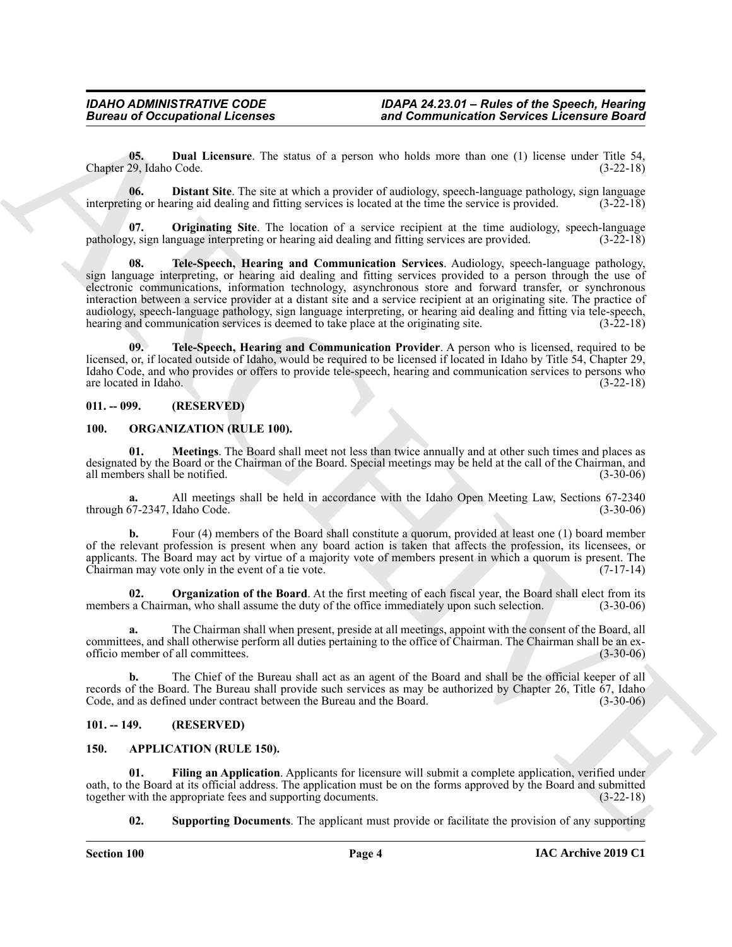<span id="page-3-8"></span>**05. Dual Licensure**. The status of a person who holds more than one (1) license under Title 54, Chapter 29, Idaho Code. (3-22-18)

<span id="page-3-7"></span>**06. Distant Site**. The site at which a provider of audiology, speech-language pathology, sign language interpreting or hearing aid dealing and fitting services is located at the time the service is provided. (3-22-18)

<span id="page-3-11"></span><span id="page-3-9"></span>**07. Originating Site**. The location of a service recipient at the time audiology, speech-language pathology, sign language interpreting or hearing aid dealing and fitting services are provided. (3-22-18)

**Europe of Occupations I**. For since  $\alpha$  is then the since  $\alpha$  is the since  $\alpha$  is the since  $\alpha$  is the since  $\alpha$  is the since  $\alpha$  is the since  $\alpha$  is the since  $\alpha$  is the since  $\alpha$  is the since  $\alpha$  is the since **08. Tele-Speech, Hearing and Communication Services**. Audiology, speech-language pathology, sign language interpreting, or hearing aid dealing and fitting services provided to a person through the use of electronic communications, information technology, asynchronous store and forward transfer, or synchronous interaction between a service provider at a distant site and a service recipient at an originating site. The practice of audiology, speech-language pathology, sign language interpreting, or hearing aid dealing and fitting via tele-speech, hearing and communication services is deemed to take place at the originating site.  $(3-22-18)$ 

<span id="page-3-10"></span>**09. Tele-Speech, Hearing and Communication Provider**. A person who is licensed, required to be licensed, or, if located outside of Idaho, would be required to be licensed if located in Idaho by Title 54, Chapter 29, Idaho Code, and who provides or offers to provide tele-speech, hearing and communication services to persons who are located in Idaho. (3-22-18)

#### <span id="page-3-0"></span>**011. -- 099. (RESERVED)**

#### <span id="page-3-13"></span><span id="page-3-12"></span><span id="page-3-1"></span>**100. ORGANIZATION (RULE 100).**

**01. Meetings**. The Board shall meet not less than twice annually and at other such times and places as designated by the Board or the Chairman of the Board. Special meetings may be held at the call of the Chairman, and all members shall be notified. (3-30-06)

**a.** All meetings shall be held in accordance with the Idaho Open Meeting Law, Sections 67-2340 through 67-2347, Idaho Code. (3-30-06)

**b.** Four (4) members of the Board shall constitute a quorum, provided at least one (1) board member of the relevant profession is present when any board action is taken that affects the profession, its licensees, or applicants. The Board may act by virtue of a majority vote of members present in which a quorum is present. The Chairman may vote only in the event of a tie vote. (7-17-14)

<span id="page-3-14"></span>**02. Organization of the Board**. At the first meeting of each fiscal year, the Board shall elect from its members a Chairman, who shall assume the duty of the office immediately upon such selection. (3-30-06)

**a.** The Chairman shall when present, preside at all meetings, appoint with the consent of the Board, all committees, and shall otherwise perform all duties pertaining to the office of Chairman. The Chairman shall be an exofficio member of all committees. (3-30-06)

**b.** The Chief of the Bureau shall act as an agent of the Board and shall be the official keeper of all records of the Board. The Bureau shall provide such services as may be authorized by Chapter 26, Title 67, Idaho Code, and as defined under contract between the Bureau and the Board. (3-30-06)

#### <span id="page-3-2"></span>**101. -- 149. (RESERVED)**

#### <span id="page-3-4"></span><span id="page-3-3"></span>**150. APPLICATION (RULE 150).**

**01. Filing an Application**. Applicants for licensure will submit a complete application, verified under oath, to the Board at its official address. The application must be on the forms approved by the Board and submitted together with the appropriate fees and supporting documents.

<span id="page-3-6"></span><span id="page-3-5"></span>**02. Supporting Documents**. The applicant must provide or facilitate the provision of any supporting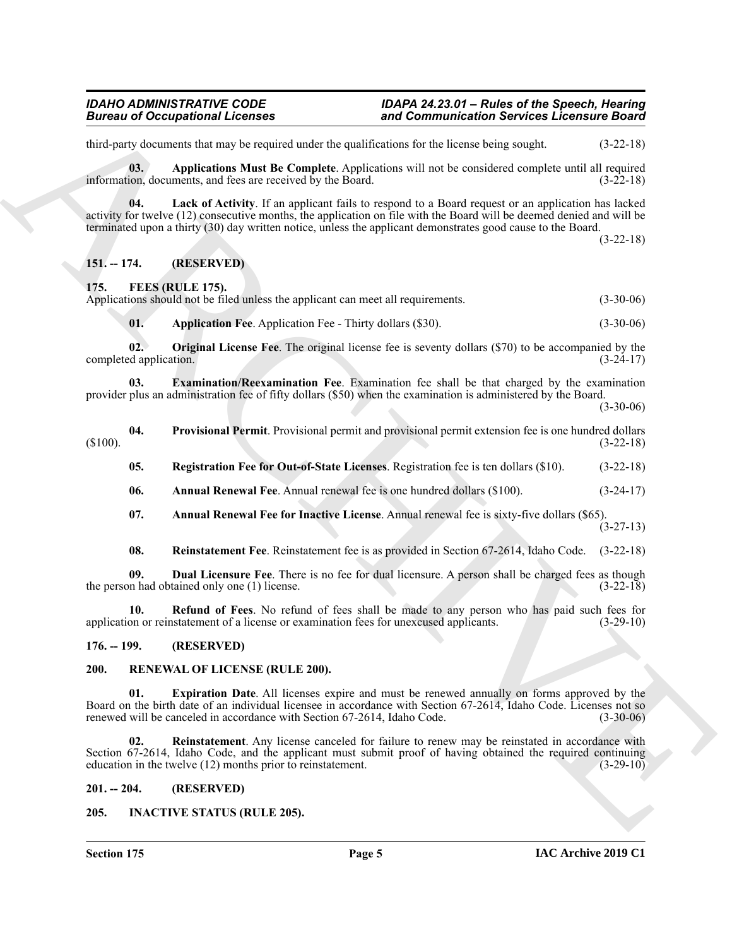third-party documents that may be required under the qualifications for the license being sought. (3-22-18)

<span id="page-4-6"></span>**03. Applications Must Be Complete**. Applications will not be considered complete until all required information, documents, and fees are received by the Board. (3-22-18)

<span id="page-4-7"></span>**04. Lack of Activity**. If an applicant fails to respond to a Board request or an application has lacked activity for twelve (12) consecutive months, the application on file with the Board will be deemed denied and will be terminated upon a thirty (30) day written notice, unless the applicant demonstrates good cause to the Board.

(3-22-18)

#### <span id="page-4-0"></span>**151. -- 174. (RESERVED)**

<span id="page-4-8"></span><span id="page-4-1"></span>**175. FEES (RULE 175).**

Applications should not be filed unless the applicant can meet all requirements. (3-30-06)

<span id="page-4-14"></span><span id="page-4-13"></span><span id="page-4-11"></span>**01.** Application Fee. Application Fee - Thirty dollars (\$30). (3-30-06)

**02. Original License Fee**. The original license fee is seventy dollars (\$70) to be accompanied by the completed application. (3-24-17)

**03. Examination/Reexamination Fee**. Examination fee shall be that charged by the examination provider plus an administration fee of fifty dollars (\$50) when the examination is administered by the Board.

 $(3-30-06)$ 

- <span id="page-4-17"></span><span id="page-4-15"></span>**04.** Provisional Permit. Provisional permit and provisional permit extension fee is one hundred dollars (3-22-18)  $(3-22-18)$ 
	- **05. Registration Fee for Out-of-State Licenses**. Registration fee is ten dollars (\$10). (3-22-18)
	- **06. Annual Renewal Fee**. Annual renewal fee is one hundred dollars (\$100). (3-24-17)
	- **07. Annual Renewal Fee for Inactive License**. Annual renewal fee is sixty-five dollars (\$65).

(3-27-13)

<span id="page-4-18"></span><span id="page-4-16"></span><span id="page-4-12"></span><span id="page-4-10"></span><span id="page-4-9"></span>**08. Reinstatement Fee**. Reinstatement fee is as provided in Section 67-2614, Idaho Code. (3-22-18)

**09. Dual Licensure Fee**. There is no fee for dual licensure. A person shall be charged fees as though the person had obtained only one (1) license. (3-22-18)

**10. Refund of Fees**. No refund of fees shall be made to any person who has paid such fees for application or reinstatement of a license or examination fees for unexcused applicants. (3-29-10)

#### <span id="page-4-2"></span>**176. -- 199. (RESERVED)**

#### <span id="page-4-21"></span><span id="page-4-20"></span><span id="page-4-3"></span>**200. RENEWAL OF LICENSE (RULE 200).**

Biometric of Compatibility distributions control in the state of the biometric state of the state of the state of the state of the state of the state of the state of the state of the state of the state of the state of the **01. Expiration Date**. All licenses expire and must be renewed annually on forms approved by the Board on the birth date of an individual licensee in accordance with Section 67-2614, Idaho Code. Licenses not so renewed will be canceled in accordance with Section 67-2614. Idaho Code. (3-30-06) renewed will be canceled in accordance with Section 67-2614, Idaho Code.

<span id="page-4-22"></span>**02. Reinstatement**. Any license canceled for failure to renew may be reinstated in accordance with Section 67-2614, Idaho Code, and the applicant must submit proof of having obtained the required continuing education in the twelve (12) months prior to reinstatement. (3-29-10) education in the twelve  $(12)$  months prior to reinstatement.

#### <span id="page-4-4"></span>**201. -- 204. (RESERVED)**

### <span id="page-4-19"></span><span id="page-4-5"></span>**205. INACTIVE STATUS (RULE 205).**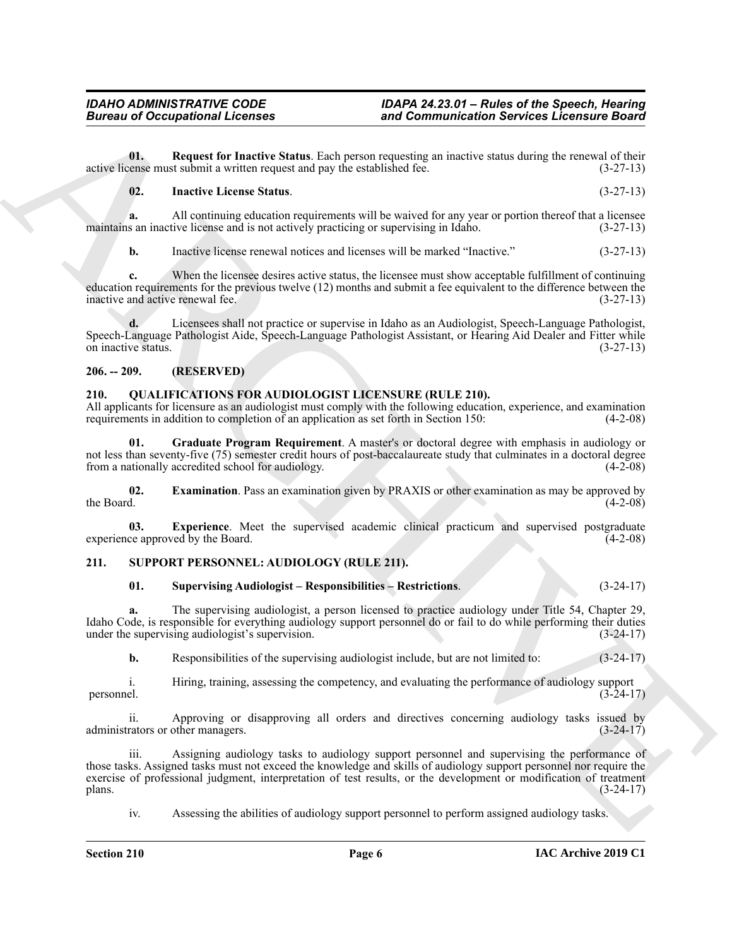**01. Request for Inactive Status**. Each person requesting an inactive status during the renewal of their active license must submit a written request and pay the established fee. (3-27-13)

#### <span id="page-5-4"></span><span id="page-5-3"></span>**02. Inactive License Status**. (3-27-13)

**a.** All continuing education requirements will be waived for any year or portion thereof that a licensee maintains an inactive license and is not actively practicing or supervising in Idaho. (3-27-13)

**b.** Inactive license renewal notices and licenses will be marked "Inactive." (3-27-13)

**c.** When the licensee desires active status, the licensee must show acceptable fulfillment of continuing education requirements for the previous twelve (12) months and submit a fee equivalent to the difference between the inactive and active renewal fee. (3-27-13)

**d.** Licensees shall not practice or supervise in Idaho as an Audiologist, Speech-Language Pathologist, Speech-Language Pathologist Aide, Speech-Language Pathologist Assistant, or Hearing Aid Dealer and Fitter while on inactive status. (3-27-13)

#### <span id="page-5-0"></span>**206. -- 209. (RESERVED)**

### <span id="page-5-5"></span><span id="page-5-1"></span>**210. QUALIFICATIONS FOR AUDIOLOGIST LICENSURE (RULE 210).**

All applicants for licensure as an audiologist must comply with the following education, experience, and examination requirements in addition to completion of an application as set forth in Section 150: (4-2-08)

<span id="page-5-8"></span>**01. Graduate Program Requirement**. A master's or doctoral degree with emphasis in audiology or not less than seventy-five (75) semester credit hours of post-baccalaureate study that culminates in a doctoral degree from a nationally accredited school for audiology. (4-2-08) from a nationally accredited school for audiology.

<span id="page-5-6"></span>**02. Examination**. Pass an examination given by PRAXIS or other examination as may be approved by the Board. (4-2-08) the Board.  $(4-2-08)$ 

<span id="page-5-7"></span>**03. Experience**. Meet the supervised academic clinical practicum and supervised postgraduate experience approved by the Board. (4-2-08)

#### <span id="page-5-2"></span>**211. SUPPORT PERSONNEL: AUDIOLOGY (RULE 211).**

### <span id="page-5-10"></span><span id="page-5-9"></span>**01. Supervising Audiologist – Responsibilities – Restrictions**. (3-24-17)

**a.** The supervising audiologist, a person licensed to practice audiology under Title 54, Chapter 29, Idaho Code, is responsible for everything audiology support personnel do or fail to do while performing their duties under the supervising audiologist's supervision. (3-24-17)

**b.** Responsibilities of the supervising audiologist include, but are not limited to: (3-24-17)

i. Hiring, training, assessing the competency, and evaluating the performance of audiology support (3-24-17) personnel. (3-24-17)

ii. Approving or disapproving all orders and directives concerning audiology tasks issued by rators or other managers. (3-24-17) administrators or other managers.

Bureau of Occupations I. from the Theoretics and Commutines then showed Electronic Board<br>
U. Represent the Lateration Schedule and proper sequences and proper sequences of the commuting the commuting terms of the commutin Assigning audiology tasks to audiology support personnel and supervising the performance of those tasks. Assigned tasks must not exceed the knowledge and skills of audiology support personnel nor require the exercise of professional judgment, interpretation of test results, or the development or modification of treatment plans. (3-24-17)  $\mu$  plans. (3-24-17)

iv. Assessing the abilities of audiology support personnel to perform assigned audiology tasks.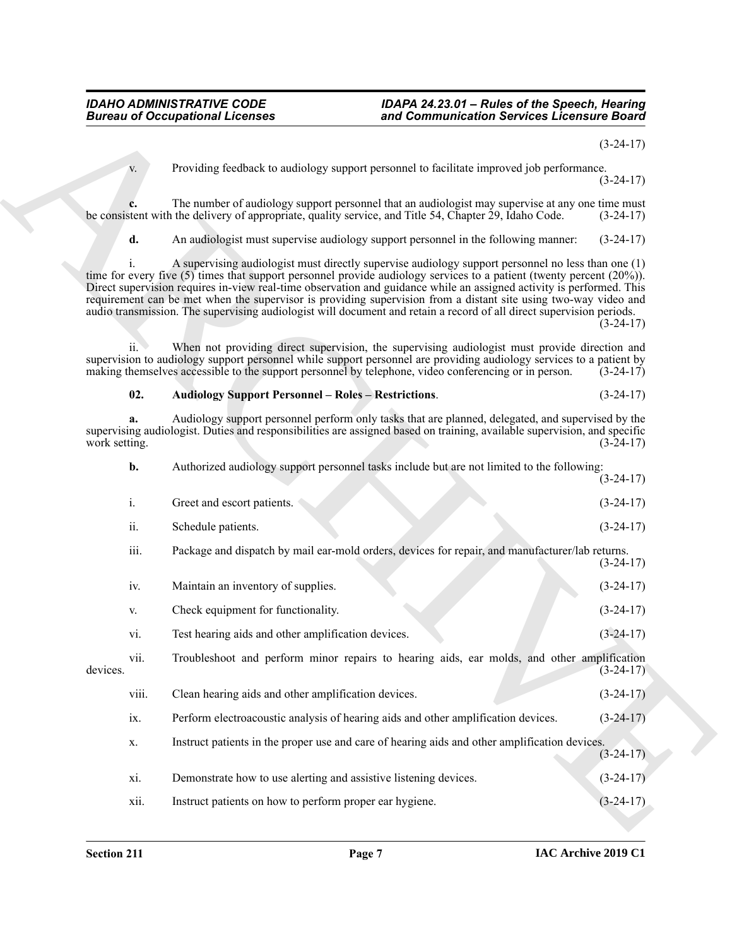(3-24-17)

v. Providing feedback to audiology support personnel to facilitate improved job performance. (3-24-17)

**c.** The number of audiology support personnel that an audiologist may supervise at any one time must stent with the delivery of appropriate, quality service, and Title 54, Chapter 29, Idaho Code.  $(3-24-17)$ be consistent with the delivery of appropriate, quality service, and Title 54, Chapter 29, Idaho Code.

**d.** An audiologist must supervise audiology support personnel in the following manner: (3-24-17)

i. A supervising audiologist must directly supervise audiology support personnel no less than one (1) time for every five (5) times that support personnel provide audiology services to a patient (twenty percent (20%)). Direct supervision requires in-view real-time observation and guidance while an assigned activity is performed. This requirement can be met when the supervisor is providing supervision from a distant site using two-way video and audio transmission. The supervising audiologist will document and retain a record of all direct supervision periods.

 $(3-24-17)$ 

ii. When not providing direct supervision, the supervising audiologist must provide direction and supervision to audiology support personnel while support personnel are providing audiology services to a patient by making themselves accessible to the support personnel by telephone, video conferencing or in person. (3-24-17)

#### <span id="page-6-0"></span>**02. Audiology Support Personnel – Roles – Restrictions**. (3-24-17)

**a.** Audiology support personnel perform only tasks that are planned, delegated, and supervised by the supervising audiologist. Duties and responsibilities are assigned based on training, available supervision, and specific work setting. (3-24-17) work setting. (3-24-17)

**Bureau of Occupations I. Februaries and Communication Services Licensine Board**<br> **A**<br> **A Example 18 and the summarized of the summarization Services Licensine Board<br>
<b>ARCHIVE CONSULTS**<br> **ARCHIVE CONSULTS**<br> **ARCHIVE b.** Authorized audiology support personnel tasks include but are not limited to the following:  $(3-24-17)$ i. Greet and escort patients. (3-24-17) ii. Schedule patients. (3-24-17) iii. Package and dispatch by mail ear-mold orders, devices for repair, and manufacturer/lab returns.  $(3-24-17)$ iv. Maintain an inventory of supplies. (3-24-17) v. Check equipment for functionality. (3-24-17) vi. Test hearing aids and other amplification devices. (3-24-17) vii. Troubleshoot and perform minor repairs to hearing aids, ear molds, and other amplification devices. (3-24-17) viii. Clean hearing aids and other amplification devices. (3-24-17) ix. Perform electroacoustic analysis of hearing aids and other amplification devices. (3-24-17) x. Instruct patients in the proper use and care of hearing aids and other amplification devices.  $(3-24-17)$ xi. Demonstrate how to use alerting and assistive listening devices. (3-24-17) xii. Instruct patients on how to perform proper ear hygiene. (3-24-17)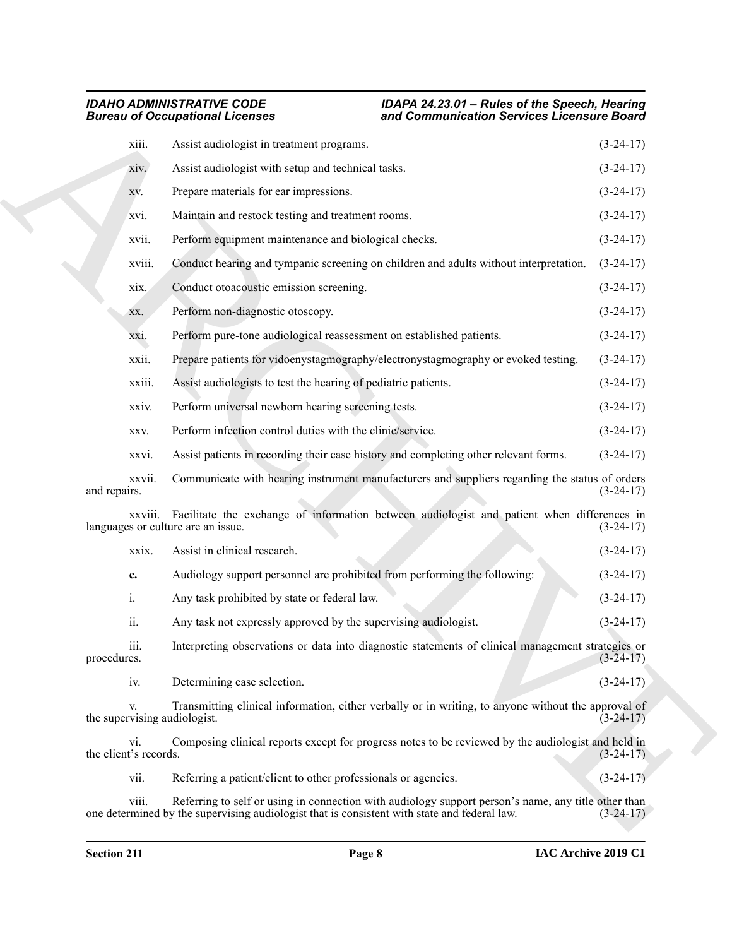|                                    | <b>Bureau of Occupational Licenses</b>                                                                                                                                                              | and Communication Services Licensure Board |  |  |
|------------------------------------|-----------------------------------------------------------------------------------------------------------------------------------------------------------------------------------------------------|--------------------------------------------|--|--|
| xiii.                              | Assist audiologist in treatment programs.                                                                                                                                                           | $(3-24-17)$                                |  |  |
| xiv.                               | Assist audiologist with setup and technical tasks.                                                                                                                                                  | $(3-24-17)$                                |  |  |
| XV.                                | Prepare materials for ear impressions.                                                                                                                                                              | $(3-24-17)$                                |  |  |
| xvi.                               | Maintain and restock testing and treatment rooms.                                                                                                                                                   | $(3-24-17)$                                |  |  |
| xvii.                              | Perform equipment maintenance and biological checks.                                                                                                                                                | $(3-24-17)$                                |  |  |
| xviii.                             | Conduct hearing and tympanic screening on children and adults without interpretation.                                                                                                               | $(3-24-17)$                                |  |  |
| xix.                               | Conduct otoacoustic emission screening.                                                                                                                                                             | $(3-24-17)$                                |  |  |
| XX.                                | Perform non-diagnostic otoscopy.                                                                                                                                                                    | $(3-24-17)$                                |  |  |
| XX1.                               | Perform pure-tone audiological reassessment on established patients.                                                                                                                                | $(3-24-17)$                                |  |  |
| xxii.                              | Prepare patients for vidoenystagmography/electronystagmography or evoked testing.                                                                                                                   | $(3-24-17)$                                |  |  |
| xxiii.                             | Assist audiologists to test the hearing of pediatric patients.                                                                                                                                      | $(3-24-17)$                                |  |  |
| xxiv.                              | Perform universal newborn hearing screening tests.                                                                                                                                                  | $(3-24-17)$                                |  |  |
| XXV.                               | Perform infection control duties with the clinic/service.                                                                                                                                           | $(3-24-17)$                                |  |  |
| xxvi.                              | Assist patients in recording their case history and completing other relevant forms.                                                                                                                | $(3-24-17)$                                |  |  |
| xxvii.<br>and repairs.             | Communicate with hearing instrument manufacturers and suppliers regarding the status of orders                                                                                                      | $(3-24-17)$                                |  |  |
| XXV111.                            | Facilitate the exchange of information between audiologist and patient when differences in<br>languages or culture are an issue.                                                                    | $(3-24-17)$                                |  |  |
| xxix.                              | Assist in clinical research.                                                                                                                                                                        | $(3-24-17)$                                |  |  |
| c.                                 | Audiology support personnel are prohibited from performing the following:                                                                                                                           | $(3-24-17)$                                |  |  |
| i.                                 | Any task prohibited by state or federal law.                                                                                                                                                        | $(3-24-17)$                                |  |  |
| ii.                                | Any task not expressly approved by the supervising audiologist.                                                                                                                                     | $(3-24-17)$                                |  |  |
| iii.<br>procedures.                | Interpreting observations or data into diagnostic statements of clinical management strategies or                                                                                                   | $(3-24-17)$                                |  |  |
| iv.                                | Determining case selection.                                                                                                                                                                         | $(3-24-17)$                                |  |  |
| V.<br>the supervising audiologist. | Transmitting clinical information, either verbally or in writing, to anyone without the approval of                                                                                                 | $(3-24-17)$                                |  |  |
| vi.<br>the client's records.       | Composing clinical reports except for progress notes to be reviewed by the audiologist and held in                                                                                                  | $(3-24-17)$                                |  |  |
| vii.                               | Referring a patient/client to other professionals or agencies.                                                                                                                                      | $(3-24-17)$                                |  |  |
| viii.                              | Referring to self or using in connection with audiology support person's name, any title other than<br>one determined by the supervising audiologist that is consistent with state and federal law. | $(3-24-17)$                                |  |  |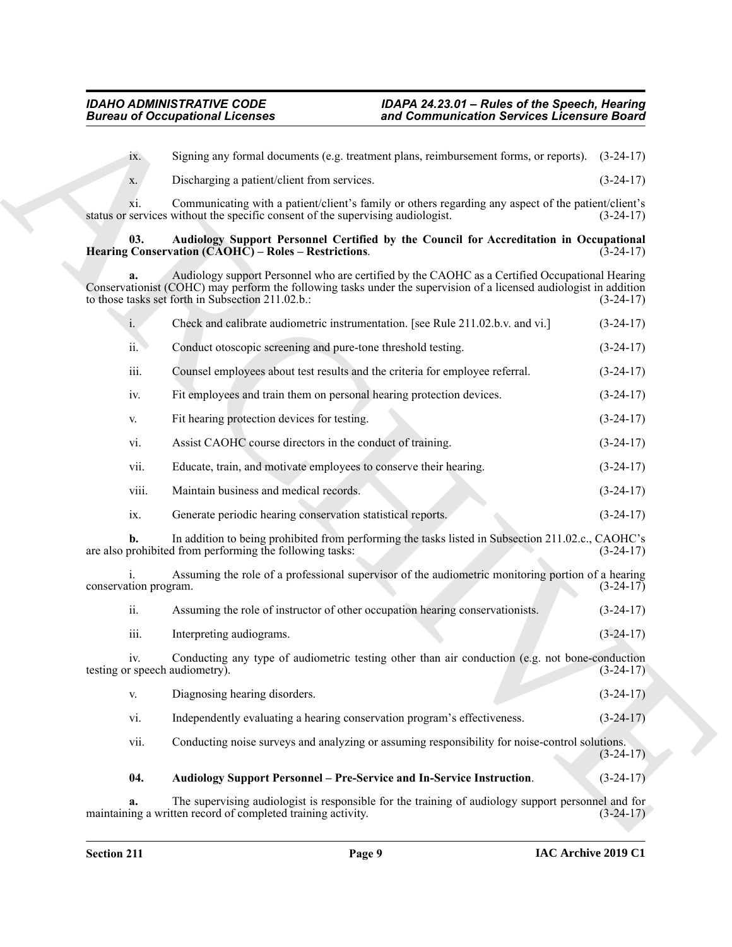#### <span id="page-8-1"></span><span id="page-8-0"></span>**03. Audiology Support Personnel Certified by the Council for Accreditation in Occupational Hearing Conservation (CAOHC) – Roles – Restrictions**. (3-24-17)

|                                       | <b>Bureau of Occupational Licenses</b>                                                                                                                                                                                                                                    | and Communication Services Licensure Board |             |
|---------------------------------------|---------------------------------------------------------------------------------------------------------------------------------------------------------------------------------------------------------------------------------------------------------------------------|--------------------------------------------|-------------|
| ix.                                   | Signing any formal documents (e.g. treatment plans, reimbursement forms, or reports). (3-24-17)                                                                                                                                                                           |                                            |             |
| X.                                    | Discharging a patient/client from services.                                                                                                                                                                                                                               |                                            | $(3-24-17)$ |
| X1.                                   | Communicating with a patient/client's family or others regarding any aspect of the patient/client's<br>status or services without the specific consent of the supervising audiologist.                                                                                    |                                            | $(3-24-17)$ |
| 03.                                   | Audiology Support Personnel Certified by the Council for Accreditation in Occupational<br>Hearing Conservation (CAOHC) – Roles – Restrictions.                                                                                                                            |                                            | $(3-24-17)$ |
| a.                                    | Audiology support Personnel who are certified by the CAOHC as a Certified Occupational Hearing<br>Conservationist (COHC) may perform the following tasks under the supervision of a licensed audiologist in addition<br>to those tasks set forth in Subsection 211.02.b.: |                                            | $(3-24-17)$ |
| $\mathbf{i}$ .                        | Check and calibrate audiometric instrumentation. [see Rule 211.02.b.v. and vi.]                                                                                                                                                                                           |                                            | $(3-24-17)$ |
| ii.                                   | Conduct otoscopic screening and pure-tone threshold testing.                                                                                                                                                                                                              |                                            | $(3-24-17)$ |
| iii.                                  | Counsel employees about test results and the criteria for employee referral.                                                                                                                                                                                              |                                            | $(3-24-17)$ |
| iv.                                   | Fit employees and train them on personal hearing protection devices.                                                                                                                                                                                                      |                                            | $(3-24-17)$ |
| V.                                    | Fit hearing protection devices for testing.                                                                                                                                                                                                                               |                                            | $(3-24-17)$ |
| vi.                                   | Assist CAOHC course directors in the conduct of training.                                                                                                                                                                                                                 |                                            | $(3-24-17)$ |
| vii.                                  | Educate, train, and motivate employees to conserve their hearing.                                                                                                                                                                                                         |                                            | $(3-24-17)$ |
| viii.                                 | Maintain business and medical records.                                                                                                                                                                                                                                    |                                            | $(3-24-17)$ |
| ix.                                   | Generate periodic hearing conservation statistical reports.                                                                                                                                                                                                               |                                            | $(3-24-17)$ |
|                                       | In addition to being prohibited from performing the tasks listed in Subsection 211.02.c., CAOHC's<br>are also prohibited from performing the following tasks:                                                                                                             |                                            | $(3-24-17)$ |
| conservation program.                 | Assuming the role of a professional supervisor of the audiometric monitoring portion of a hearing                                                                                                                                                                         |                                            | $(3-24-17)$ |
| ii.                                   | Assuming the role of instructor of other occupation hearing conservationists.                                                                                                                                                                                             |                                            | $(3-24-17)$ |
| iii.                                  | Interpreting audiograms.                                                                                                                                                                                                                                                  |                                            | $(3-24-17)$ |
| iv.<br>testing or speech audiometry). | Conducting any type of audiometric testing other than air conduction (e.g. not bone-conduction                                                                                                                                                                            |                                            | $(3-24-17)$ |
| V.                                    | Diagnosing hearing disorders.                                                                                                                                                                                                                                             |                                            | $(3-24-17)$ |
| vi.                                   | Independently evaluating a hearing conservation program's effectiveness.                                                                                                                                                                                                  |                                            | $(3-24-17)$ |
| vii.                                  | Conducting noise surveys and analyzing or assuming responsibility for noise-control solutions.                                                                                                                                                                            |                                            | $(3-24-17)$ |
| 04.                                   | Audiology Support Personnel - Pre-Service and In-Service Instruction.                                                                                                                                                                                                     |                                            | $(3-24-17)$ |
| a.                                    | The supervising audiologist is responsible for the training of audiology support personnel and for<br>maintaining a written record of completed training activity.                                                                                                        |                                            | $(3-24-17)$ |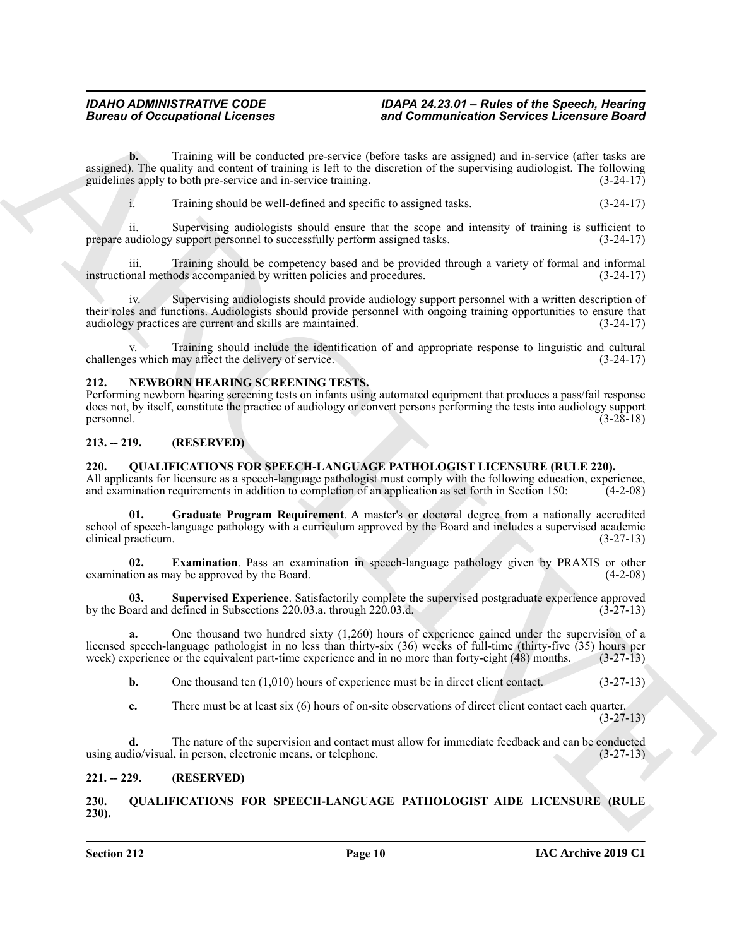**Bureau of Occupational Leonards and Commutation Services Leonards and Commutation Services Leonards Based<br>
State of the calibratic process of the three discussions of the upcoming matrices in the energy of the calibratio b.** Training will be conducted pre-service (before tasks are assigned) and in-service (after tasks are assigned). The quality and content of training is left to the discretion of the supervising audiologist. The following guidelines apply to both pre-service and in-service training. (3-24-17) guidelines apply to both pre-service and in-service training.

i. Training should be well-defined and specific to assigned tasks. (3-24-17)

ii. Supervising audiologists should ensure that the scope and intensity of training is sufficient to prepare audiology support personnel to successfully perform assigned tasks. (3-24-17)

iii. Training should be competency based and be provided through a variety of formal and informal instructional methods accompanied by written policies and procedures. (3-24-17)

Supervising audiologists should provide audiology support personnel with a written description of their roles and functions. Audiologists should provide personnel with ongoing training opportunities to ensure that audiology practices are current and skills are maintained. (3-24-17) audiology practices are current and skills are maintained.

Training should include the identification of and appropriate response to linguistic and cultural challenges which may affect the delivery of service. (3-24-17)

#### <span id="page-9-5"></span><span id="page-9-0"></span>**212. NEWBORN HEARING SCREENING TESTS.**

Performing newborn hearing screening tests on infants using automated equipment that produces a pass/fail response does not, by itself, constitute the practice of audiology or convert persons performing the tests into audiology support personnel.  $(3-28-18)$ 

#### <span id="page-9-1"></span>**213. -- 219. (RESERVED)**

### <span id="page-9-7"></span><span id="page-9-2"></span>**220. QUALIFICATIONS FOR SPEECH-LANGUAGE PATHOLOGIST LICENSURE (RULE 220).**

All applicants for licensure as a speech-language pathologist must comply with the following education, experience, and examination requirements in addition to completion of an application as set forth in Section 150: (4-2-08)

<span id="page-9-9"></span>**01. Graduate Program Requirement**. A master's or doctoral degree from a nationally accredited school of speech-language pathology with a curriculum approved by the Board and includes a supervised academic clinical practicum. (3-27-13)

<span id="page-9-8"></span>**02. Examination**. Pass an examination in speech-language pathology given by PRAXIS or other examination as may be approved by the Board.

**03.** Supervised Experience. Satisfactorily complete the supervised postgraduate experience approved pard and defined in Subsections 220.03.a. through 220.03.d. (3-27-13) by the Board and defined in Subsections 220.03.a. through 220.03.d.

**a.** One thousand two hundred sixty (1,260) hours of experience gained under the supervision of a licensed speech-language pathologist in no less than thirty-six (36) weeks of full-time (thirty-five (35) hours per week) experience or the equivalent part-time experience and in no more than forty-eight (48) months. (3-27-13)

<span id="page-9-10"></span>**b.** One thousand ten (1,010) hours of experience must be in direct client contact. (3-27-13)

**c.** There must be at least six (6) hours of on-site observations of direct client contact each quarter.

 $(3-27-13)$ 

**d.** The nature of the supervision and contact must allow for immediate feedback and can be conducted using audio/visual, in person, electronic means, or telephone. (3-27-13)

### <span id="page-9-3"></span>**221. -- 229. (RESERVED)**

<span id="page-9-6"></span><span id="page-9-4"></span>**230. QUALIFICATIONS FOR SPEECH-LANGUAGE PATHOLOGIST AIDE LICENSURE (RULE 230).**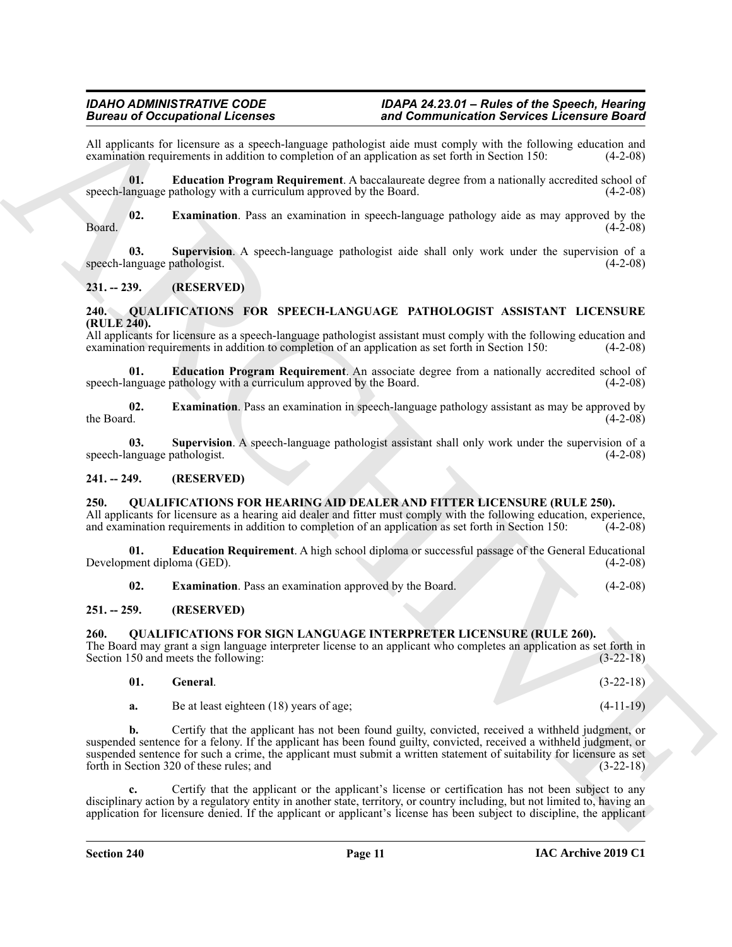All applicants for licensure as a speech-language pathologist aide must comply with the following education and examination requirements in addition to completion of an application as set forth in Section 150: (4-2-08) examination requirements in addition to completion of an application as set forth in Section 150:

<span id="page-10-10"></span>**01. Education Program Requirement**. A baccalaureate degree from a nationally accredited school of speech-language pathology with a curriculum approved by the Board. (4-2-08)

<span id="page-10-11"></span>**02. Examination**. Pass an examination in speech-language pathology aide as may approved by the  $(4-2-08)$  $\beta$ Board. (4-2-08)

<span id="page-10-12"></span>**03. Supervision**. A speech-language pathologist aide shall only work under the supervision of a speech-language pathologist. (4-2-08)

### <span id="page-10-0"></span>**231. -- 239. (RESERVED)**

#### <span id="page-10-13"></span><span id="page-10-1"></span>**240. QUALIFICATIONS FOR SPEECH-LANGUAGE PATHOLOGIST ASSISTANT LICENSURE (RULE 240).**

All applicants for licensure as a speech-language pathologist assistant must comply with the following education and examination requirements in addition to completion of an application as set forth in Section 150: (4-2-08)

<span id="page-10-14"></span>**01. Education Program Requirement**. An associate degree from a nationally accredited school of speech-language pathology with a curriculum approved by the Board. (4-2-08)

<span id="page-10-15"></span>**02. Examination**. Pass an examination in speech-language pathology assistant as may be approved by the Board.  $(4-2-08)$ 

<span id="page-10-16"></span>**03. Supervision**. A speech-language pathologist assistant shall only work under the supervision of a speech-language pathologist. (4-2-08)

#### <span id="page-10-2"></span>**241. -- 249. (RESERVED)**

#### <span id="page-10-6"></span><span id="page-10-3"></span>**250. QUALIFICATIONS FOR HEARING AID DEALER AND FITTER LICENSURE (RULE 250).**

All applicants for licensure as a hearing aid dealer and fitter must comply with the following education, experience, and examination requirements in addition to completion of an application as set forth in Section 150: (4-2-08)

**01. Education Requirement**. A high school diploma or successful passage of the General Educational Development diploma (GED). (4-2-08)

<span id="page-10-8"></span><span id="page-10-7"></span>**02. Examination**. Pass an examination approved by the Board. (4-2-08)

#### <span id="page-10-4"></span>**251. -- 259. (RESERVED)**

#### <span id="page-10-5"></span>**260. QUALIFICATIONS FOR SIGN LANGUAGE INTERPRETER LICENSURE (RULE 260).**

The Board may grant a sign language interpreter license to an applicant who completes an application as set forth in Section 150 and meets the following: (3-22-18) Section 150 and meets the following:

<span id="page-10-9"></span>

| General.                                | $(3-22-18)$ |
|-----------------------------------------|-------------|
| Be at least eighteen (18) years of age; | $(4-11-19)$ |

**EVALUATION**<br> **EVALUATION** INTERFERING CONTINUES INTO the COMMUNISTIC CONTINUES INTERFERING CONTINUES IN the CONTINUES INTERFERING CONTINUES INTO the CONTINUES INTERFERING CONTINUES INTO the CONTINUES INTERFERING CONTINUE **b.** Certify that the applicant has not been found guilty, convicted, received a withheld judgment, or suspended sentence for a felony. If the applicant has been found guilty, convicted, received a withheld judgment, or suspended sentence for such a crime, the applicant must submit a written statement of suitability for licensure as set forth in Section 320 of these rules; and (3-22-18)

**c.** Certify that the applicant or the applicant's license or certification has not been subject to any disciplinary action by a regulatory entity in another state, territory, or country including, but not limited to, having an application for licensure denied. If the applicant or applicant's license has been subject to discipline, the applicant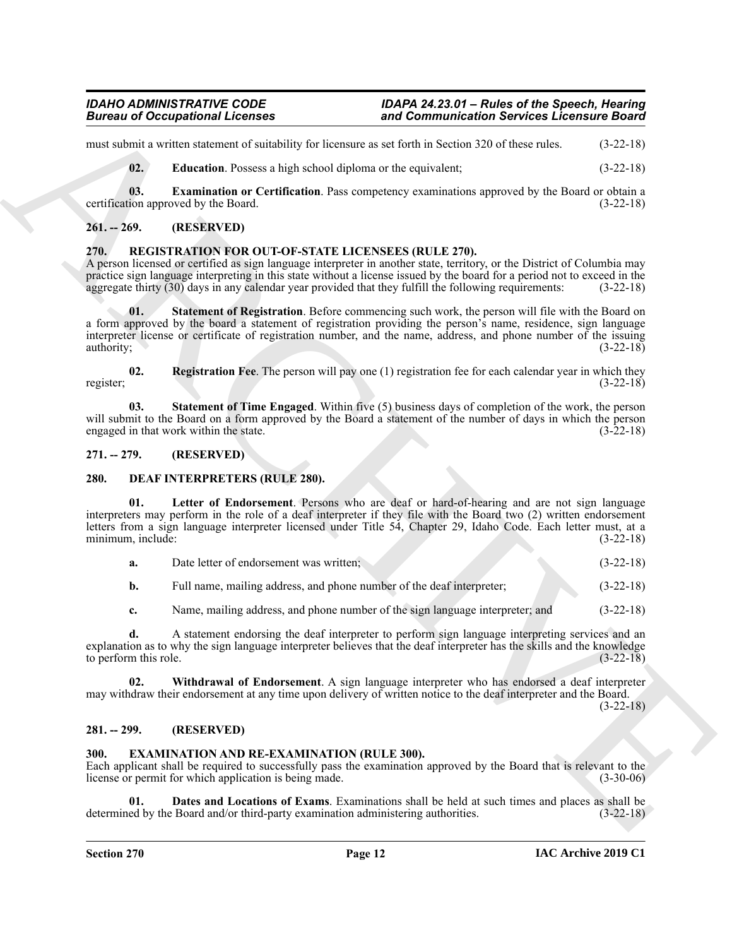must submit a written statement of suitability for licensure as set forth in Section 320 of these rules. (3-22-18)

<span id="page-11-15"></span><span id="page-11-14"></span>**02. Education**. Possess a high school diploma or the equivalent; (3-22-18)

**03. Examination or Certification**. Pass competency examinations approved by the Board or obtain a certification approved by the Board. (3-22-18)

### <span id="page-11-0"></span>**261. -- 269. (RESERVED)**

### <span id="page-11-16"></span><span id="page-11-1"></span>**270. REGISTRATION FOR OUT-OF-STATE LICENSEES (RULE 270).**

<span id="page-11-12"></span>A person licensed or certified as sign language interpreter in another state, territory, or the District of Columbia may practice sign language interpreting in this state without a license issued by the board for a period not to exceed in the aggregate thirty (30) days in any calendar vear provided that they fulfill the following requirement aggregate thirty  $(30)$  days in any calendar year provided that they fulfill the following requirements:

Borrow of Occupations I. Icenses and Commutation Services Licensine Bord (1992)<br>
and Commutation Services Department (1993)<br>
(a) Landscape Neurol (1993) and Commutation Services Department (1993)<br>
(a) Landscape Neurol Ser **01.** Statement of Registration. Before commencing such work, the person will file with the Board on a form approved by the board a statement of registration providing the person's name, residence, sign language interpreter license or certificate of registration number, and the name, address, and phone number of the issuing authority;  $(3-22-18)$ 

<span id="page-11-11"></span>**02. Registration Fee**. The person will pay one (1) registration fee for each calendar year in which they register; (3-22-18)

<span id="page-11-13"></span>**03. Statement of Time Engaged**. Within five (5) business days of completion of the work, the person will submit to the Board on a form approved by the Board a statement of the number of days in which the person engaged in that work within the state. (3-22-18)

<span id="page-11-2"></span>**271. -- 279. (RESERVED)**

#### <span id="page-11-6"></span><span id="page-11-3"></span>**280. DEAF INTERPRETERS (RULE 280).**

Letter of Endorsement. Persons who are deaf or hard-of-hearing and are not sign language interpreters may perform in the role of a deaf interpreter if they file with the Board two (2) written endorsement letters from a sign language interpreter licensed under Title 54, Chapter 29, Idaho Code. Each letter must, at a minimum, include: (3-22-18)

<span id="page-11-7"></span>

| a. | Date letter of endorsement was written: |  |  | $(3-22-18)$ |
|----|-----------------------------------------|--|--|-------------|
|----|-----------------------------------------|--|--|-------------|

**b.** Full name, mailing address, and phone number of the deaf interpreter; (3-22-18)

<span id="page-11-8"></span>**c.** Name, mailing address, and phone number of the sign language interpreter; and (3-22-18)

**d.** A statement endorsing the deaf interpreter to perform sign language interpreting services and an explanation as to why the sign language interpreter believes that the deaf interpreter has the skills and the knowledge to perform this role. (3-22-18) to perform this role.

**02. Withdrawal of Endorsement**. A sign language interpreter who has endorsed a deaf interpreter may withdraw their endorsement at any time upon delivery of written notice to the deaf interpreter and the Board.

(3-22-18)

### <span id="page-11-4"></span>**281. -- 299. (RESERVED)**

### <span id="page-11-9"></span><span id="page-11-5"></span>**300. EXAMINATION AND RE-EXAMINATION (RULE 300).**

Each applicant shall be required to successfully pass the examination approved by the Board that is relevant to the license or permit for which application is being made. (3-30-06)

<span id="page-11-10"></span>**01. Dates and Locations of Exams**. Examinations shall be held at such times and places as shall be determined by the Board and/or third-party examination administering authorities. (3-22-18)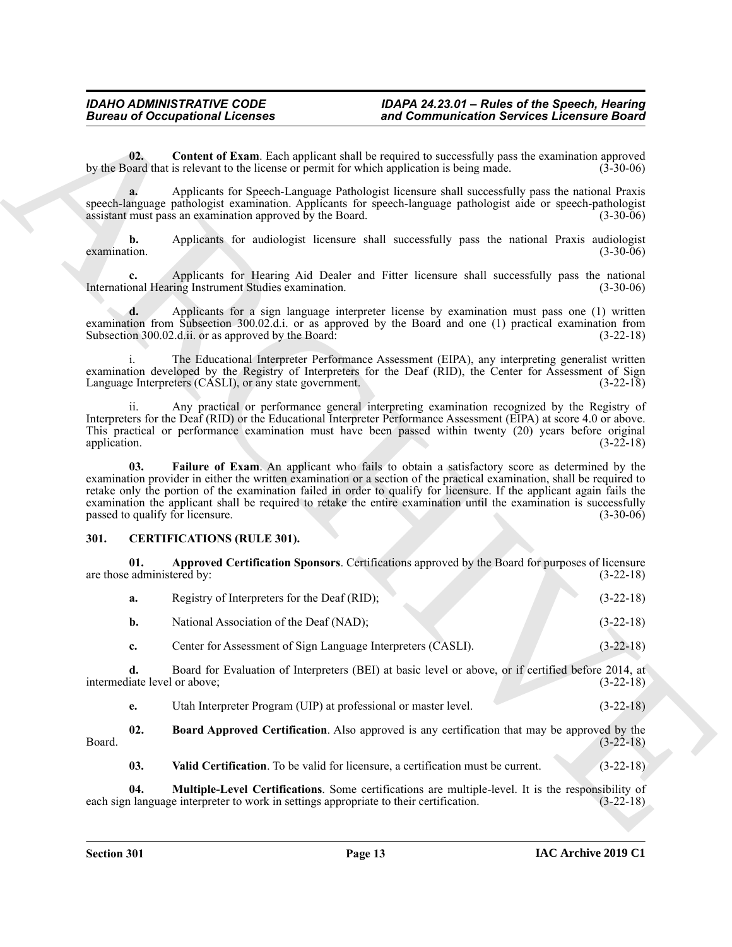<span id="page-12-6"></span>**02. Content of Exam**. Each applicant shall be required to successfully pass the examination approved by the Board that is relevant to the license or permit for which application is being made. (3-30-06)

**a.** Applicants for Speech-Language Pathologist licensure shall successfully pass the national Praxis speech-language pathologist examination. Applicants for speech-language pathologist aide or speech-pathologist assistant must pass an examination approved by the Board. (3-30-06) assistant must pass an examination approved by the Board.

**b.** Applicants for audiologist licensure shall successfully pass the national Praxis audiologist lion. (3-30-06) examination. (3-30-06)

**c.** Applicants for Hearing Aid Dealer and Fitter licensure shall successfully pass the national meaning Instrument Studies examination. (3-30-06) International Hearing Instrument Studies examination.

**d.** Applicants for a sign language interpreter license by examination must pass one (1) written examination from Subsection 300.02.d.i. or as approved by the Board and one (1) practical examination from Subsection 300.02.d.ii. or as approved by the Board: (3-22-18) Subsection 300.02.d.ii. or as approved by the Board:

i. The Educational Interpreter Performance Assessment (EIPA), any interpreting generalist written examination developed by the Registry of Interpreters for the Deaf (RID), the Center for Assessment of Sign Language Interpreters (CASLI), or any state government. (3-22-18)

<span id="page-12-7"></span>ii. Any practical or performance general interpreting examination recognized by the Registry of Interpreters for the Deaf (RID) or the Educational Interpreter Performance Assessment (EIPA) at score 4.0 or above. This practical or performance examination must have been passed within twenty (20) years before original application. (3-22-18) application.  $(3-22-18)$ 

**Bureau of Occupational Licenses and Commutation Services Licenses of Services Licenses of Services Licenses of Services Licenses of Services Controllers (1976)<br>
The China China Controllers of Services Commutations (1976) 03. Failure of Exam**. An applicant who fails to obtain a satisfactory score as determined by the examination provider in either the written examination or a section of the practical examination, shall be required to retake only the portion of the examination failed in order to qualify for licensure. If the applicant again fails the examination the applicant shall be required to retake the entire examination until the examination is successfully passed to qualify for licensure. (3-30-06) passed to qualify for licensure.

### <span id="page-12-1"></span><span id="page-12-0"></span>**301. CERTIFICATIONS (RULE 301).**

**01. Approved Certification Sponsors**. Certifications approved by the Board for purposes of licensure are those administered by:

<span id="page-12-2"></span>

| а. | Registry of Interpreters for the Deaf (RID); | $(3-22-18)$ |
|----|----------------------------------------------|-------------|
|    | National Association of the Deaf (NAD);      | $(3-22-18)$ |

**c.** Center for Assessment of Sign Language Interpreters (CASLI). (3-22-18)

**d.** Board for Evaluation of Interpreters (BEI) at basic level or above, or if certified before 2014, at iate level or above; (3-22-18) intermediate level or above;

<span id="page-12-3"></span>**e.** Utah Interpreter Program (UIP) at professional or master level. (3-22-18)

**02. Board Approved Certification**. Also approved is any certification that may be approved by the (3-22-18) Board. (3-22-18)

<span id="page-12-5"></span><span id="page-12-4"></span>**03. Valid Certification**. To be valid for licensure, a certification must be current. (3-22-18)

**04.** Multiple-Level Certifications. Some certifications are multiple-level. It is the responsibility of alumple large interpreter to work in settings appropriate to their certification. (3-22-18) each sign language interpreter to work in settings appropriate to their certification.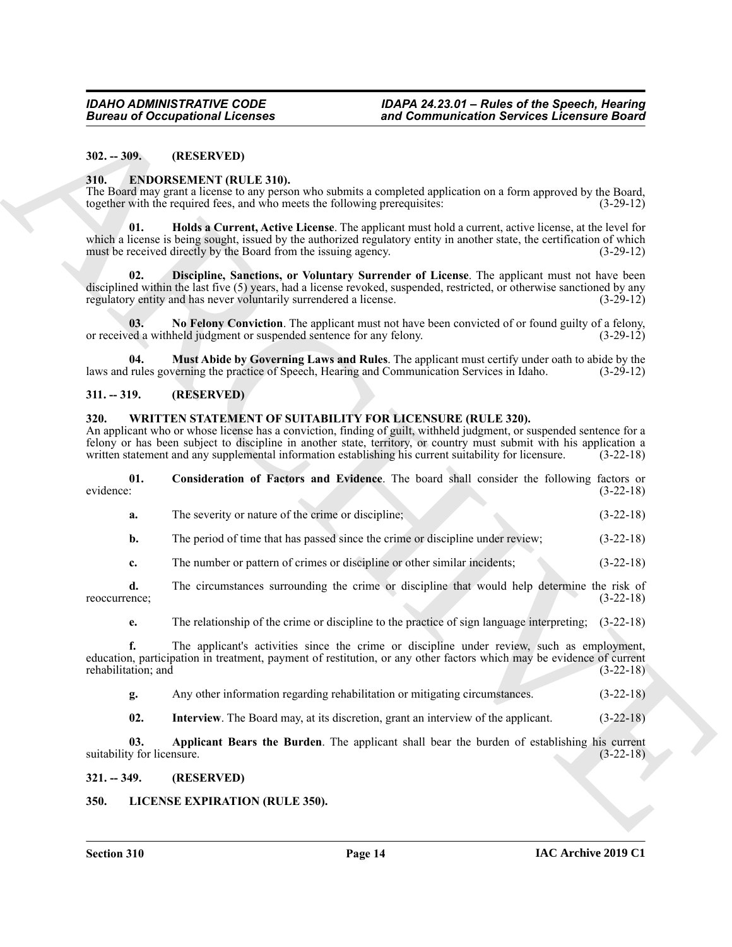#### <span id="page-13-0"></span>**302. -- 309. (RESERVED)**

#### <span id="page-13-6"></span><span id="page-13-1"></span>**310. ENDORSEMENT (RULE 310).**

<span id="page-13-8"></span>The Board may grant a license to any person who submits a completed application on a form approved by the Board, together with the required fees, and who meets the following prerequisites: (3-29-12)

**Barrow of Occupational Licenses** and Commutation Services Licensine Barrow (1972)<br>
31. **2. EXECUTE: CONSULATE TRULE 310.**<br>
2. **2. EXECUTE: CONSULATE TRULE 310.**<br>
2. **2. CONSULATE TRULE 310.**<br>
2. **2. 2. 2. 01. Holds a Current, Active License**. The applicant must hold a current, active license, at the level for which a license is being sought, issued by the authorized regulatory entity in another state, the certification of which must be received directly by the Board from the issuing agency. (3-29-12)

<span id="page-13-7"></span>**02. Discipline, Sanctions, or Voluntary Surrender of License**. The applicant must not have been disciplined within the last five (5) years, had a license revoked, suspended, restricted, or otherwise sanctioned by any regulatory entity and has never voluntarily surrendered a license. (3-29-12)

<span id="page-13-10"></span>**03.** No Felony Conviction. The applicant must not have been convicted of or found guilty of a felony, ed a withheld judgment or suspended sentence for any felony. (3-29-12) or received a withheld judgment or suspended sentence for any felony.

<span id="page-13-9"></span>**04. Must Abide by Governing Laws and Rules**. The applicant must certify under oath to abide by the laws and rules governing the practice of Speech, Hearing and Communication Services in Idaho.

#### <span id="page-13-2"></span>**311. -- 319. (RESERVED)**

#### <span id="page-13-12"></span><span id="page-13-3"></span>**320. WRITTEN STATEMENT OF SUITABILITY FOR LICENSURE (RULE 320).**

An applicant who or whose license has a conviction, finding of guilt, withheld judgment, or suspended sentence for a felony or has been subject to discipline in another state, territory, or country must submit with his application a written statement and any supplemental information establishing his current suitability for licensure. (3written statement and any supplemental information establishing his current suitability for licensure.

|           | Consideration of Factors and Evidence. The board shall consider the following factors or |  |  |  |  |             |  |
|-----------|------------------------------------------------------------------------------------------|--|--|--|--|-------------|--|
| evidence: |                                                                                          |  |  |  |  | $(3-22-18)$ |  |
|           |                                                                                          |  |  |  |  |             |  |

- <span id="page-13-14"></span>**a.** The severity or nature of the crime or discipline; (3-22-18)
- **b.** The period of time that has passed since the crime or discipline under review; (3-22-18)
- **c.** The number or pattern of crimes or discipline or other similar incidents; (3-22-18)
- **d.** The circumstances surrounding the crime or discipline that would help determine the risk of reoccurrence; (3-22-18)
	- **e.** The relationship of the crime or discipline to the practice of sign language interpreting;  $(3-22-18)$

**f.** The applicant's activities since the crime or discipline under review, such as employment, education, participation in treatment, payment of restitution, or any other factors which may be evidence of current rehabilitation; and (3-22-18)

- **g.** Any other information regarding rehabilitation or mitigating circumstances. (3-22-18)
- <span id="page-13-15"></span><span id="page-13-13"></span>**02.** Interview. The Board may, at its discretion, grant an interview of the applicant. (3-22-18)

**03. Applicant Bears the Burden**. The applicant shall bear the burden of establishing his current suitability for licensure. (3-22-18)

#### <span id="page-13-4"></span>**321. -- 349. (RESERVED)**

#### <span id="page-13-11"></span><span id="page-13-5"></span>**350. LICENSE EXPIRATION (RULE 350).**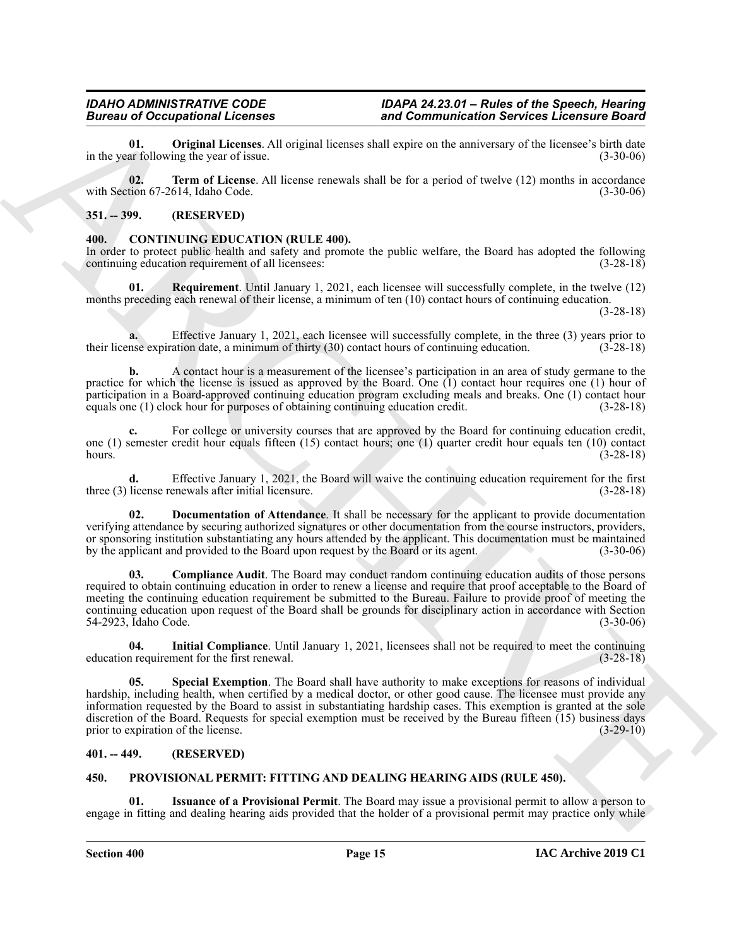<span id="page-14-10"></span>**01. Original Licenses**. All original licenses shall expire on the anniversary of the licensee's birth date ar following the year of issue. in the year following the year of issue.

<span id="page-14-11"></span>**02. Term of License**. All license renewals shall be for a period of twelve (12) months in accordance with Section 67-2614, Idaho Code. (3-30-06)

#### <span id="page-14-0"></span>**351. -- 399. (RESERVED)**

#### <span id="page-14-4"></span><span id="page-14-1"></span>**400. CONTINUING EDUCATION (RULE 400).**

In order to protect public health and safety and promote the public welfare, the Board has adopted the following continuing education requirement of all licensees: (3-28-18) continuing education requirement of all licensees:

<span id="page-14-8"></span>**01. Requirement**. Until January 1, 2021, each licensee will successfully complete, in the twelve (12) months preceding each renewal of their license, a minimum of ten (10) contact hours of continuing education.

(3-28-18)

**a.** Effective January 1, 2021, each licensee will successfully complete, in the three (3) years prior to their license expiration date, a minimum of thirty (30) contact hours of continuing education. (3-28-18)

**b.** A contact hour is a measurement of the licensee's participation in an area of study germane to the practice for which the license is issued as approved by the Board. One (1) contact hour requires one (1) hour of participation in a Board-approved continuing education program excluding meals and breaks. One (1) contact hour<br>equals one (1) clock hour for purposes of obtaining continuing education credit. (3-28-18) equals one (1) clock hour for purposes of obtaining continuing education credit.

For college or university courses that are approved by the Board for continuing education credit, one (1) semester credit hour equals fifteen (15) contact hours; one (1) quarter credit hour equals ten (10) contact hours. (3-28-18)

**d.** Effective January 1, 2021, the Board will waive the continuing education requirement for the first three (3) license renewals after initial licensure. (3-28-18)

<span id="page-14-6"></span><span id="page-14-5"></span>**02. Documentation of Attendance**. It shall be necessary for the applicant to provide documentation verifying attendance by securing authorized signatures or other documentation from the course instructors, providers, or sponsoring institution substantiating any hours attended by the applicant. This documentation must be maintained<br>by the applicant and provided to the Board upon request by the Board or its agent. (3-30-06) by the applicant and provided to the Board upon request by the Board or its agent.

Branch Decrease of the state of the state of the state of the state of the state of the state of the state of the state of the state of the state of the state of the state of the state of the state of the state of the sta **03. Compliance Audit**. The Board may conduct random continuing education audits of those persons required to obtain continuing education in order to renew a license and require that proof acceptable to the Board of meeting the continuing education requirement be submitted to the Bureau. Failure to provide proof of meeting the continuing education upon request of the Board shall be grounds for disciplinary action in accordance with Section 54-2923, Idaho Code. (3-30-06)

<span id="page-14-7"></span>**04.** Initial Compliance. Until January 1, 2021, licensees shall not be required to meet the continuing nequirement for the first renewal.  $(3-28-18)$ education requirement for the first renewal.

<span id="page-14-9"></span>**05. Special Exemption**. The Board shall have authority to make exceptions for reasons of individual hardship, including health, when certified by a medical doctor, or other good cause. The licensee must provide any information requested by the Board to assist in substantiating hardship cases. This exemption is granted at the sole discretion of the Board. Requests for special exemption must be received by the Bureau fifteen  $(15)$  business days prior to expiration of the license. (3-29-10) prior to expiration of the license.

### <span id="page-14-2"></span>**401. -- 449. (RESERVED)**

#### <span id="page-14-12"></span><span id="page-14-3"></span>**450. PROVISIONAL PERMIT: FITTING AND DEALING HEARING AIDS (RULE 450).**

<span id="page-14-13"></span>**01. Issuance of a Provisional Permit**. The Board may issue a provisional permit to allow a person to engage in fitting and dealing hearing aids provided that the holder of a provisional permit may practice only while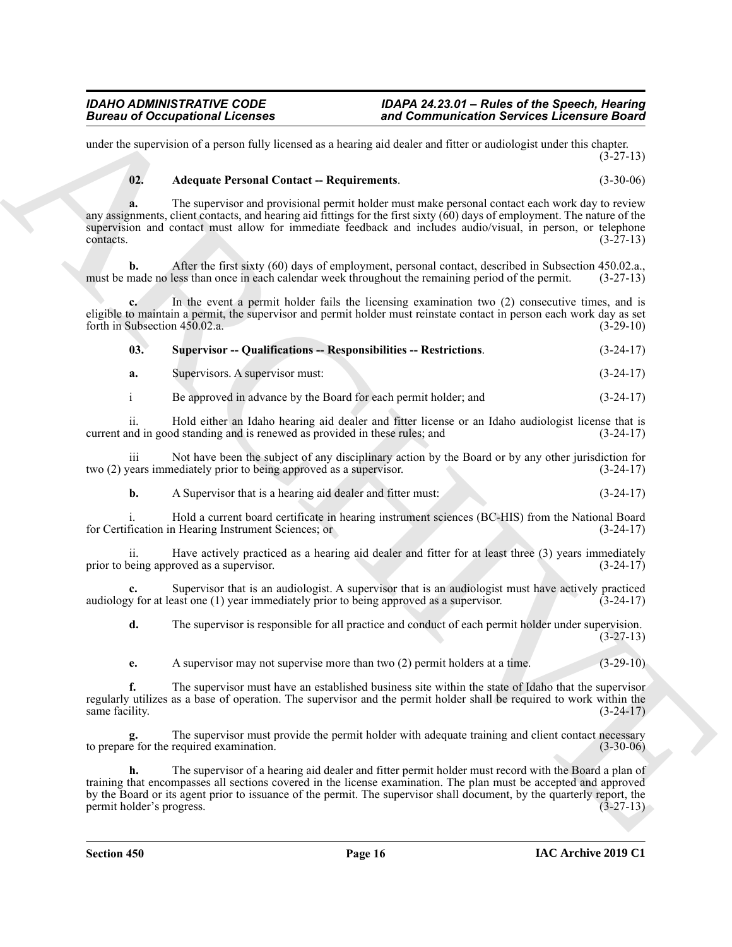under the supervision of a person fully licensed as a hearing aid dealer and fitter or audiologist under this chapter.  $(3-27-13)$ 

# <span id="page-15-0"></span>**02. Adequate Personal Contact -- Requirements**. (3-30-06)

Bureau of Occupations I Leonards<br>
and Commutential Services Leonards<br>
and the specific distribution of the specific distribution of the specific distribution of the specific distribution of the specific distribution of th **a.** The supervisor and provisional permit holder must make personal contact each work day to review any assignments, client contacts, and hearing aid fittings for the first sixty (60) days of employment. The nature of the supervision and contact must allow for immediate feedback and includes audio/visual, in person, or telephone  $\text{constants.}$  (3-27-13)

**b.** After the first sixty (60) days of employment, personal contact, described in Subsection 450.02.a., must be made no less than once in each calendar week throughout the remaining period of the permit. (3-27-13)

**c.** In the event a permit holder fails the licensing examination two (2) consecutive times, and is eligible to maintain a permit, the supervisor and permit holder must reinstate contact in person each work day as set forth in Subsection 450.02.a. (3-29-10)

<span id="page-15-1"></span>

| 03. | <b>Supervisor -- Qualifications -- Responsibilities -- Restrictions.</b> | $(3-24-17)$ |
|-----|--------------------------------------------------------------------------|-------------|
|-----|--------------------------------------------------------------------------|-------------|

**a.** Supervisors. A supervisor must: (3-24-17)

i Be approved in advance by the Board for each permit holder; and (3-24-17)

ii. Hold either an Idaho hearing aid dealer and fitter license or an Idaho audiologist license that is current and in good standing and is renewed as provided in these rules; and (3-24-17)

iii Not have been the subject of any disciplinary action by the Board or by any other jurisdiction for two (2) years immediately prior to being approved as a supervisor. (3-24-17)

**b.** A Supervisor that is a hearing aid dealer and fitter must: (3-24-17)

i. Hold a current board certificate in hearing instrument sciences (BC-HIS) from the National Board for Certification in Hearing Instrument Sciences; or (3-24-17)

ii. Have actively practiced as a hearing aid dealer and fitter for at least three (3) years immediately prior to being approved as a supervisor. (3-24-17)

**c.** Supervisor that is an audiologist. A supervisor that is an audiologist must have actively practiced v for at least one (1) year immediately prior to being approved as a supervisor. (3-24-17) audiology for at least one  $(1)$  year immediately prior to being approved as a supervisor.

**d.** The supervisor is responsible for all practice and conduct of each permit holder under supervision. (3-27-13)

**e.** A supervisor may not supervise more than two (2) permit holders at a time. (3-29-10)

**f.** The supervisor must have an established business site within the state of Idaho that the supervisor regularly utilizes as a base of operation. The supervisor and the permit holder shall be required to work within the same facility.

**g.** The supervisor must provide the permit holder with adequate training and client contact necessary to prepare for the required examination. (3-30-06)

**h.** The supervisor of a hearing aid dealer and fitter permit holder must record with the Board a plan of training that encompasses all sections covered in the license examination. The plan must be accepted and approved by the Board or its agent prior to issuance of the permit. The supervisor shall document, by the quarterly report, the permit holder's progress. (3-27-13)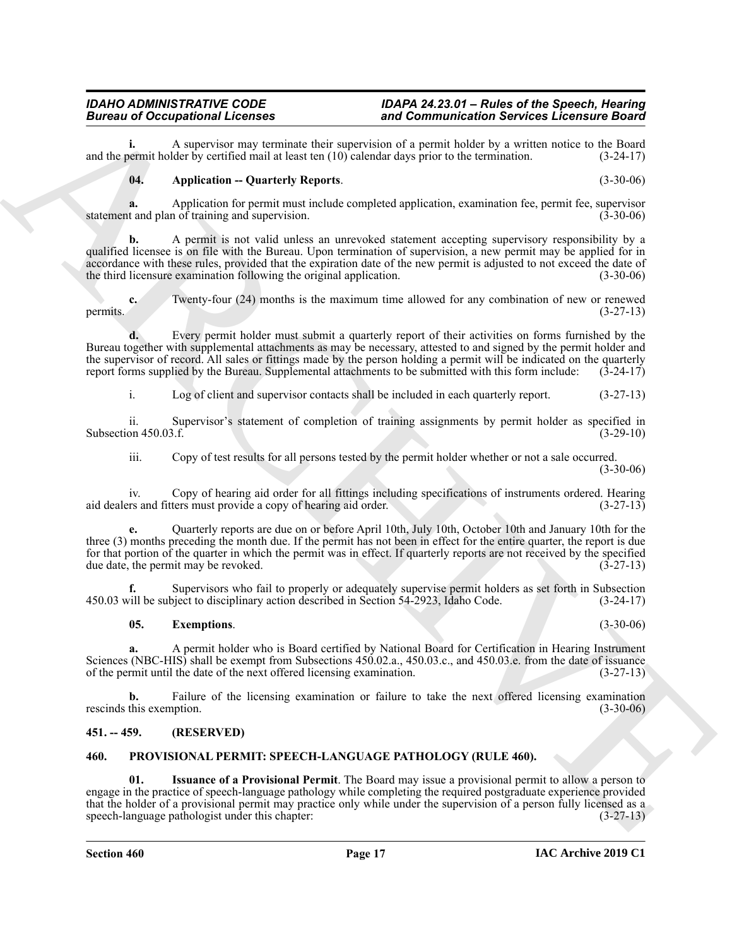**i.** A supervisor may terminate their supervision of a permit holder by a written notice to the Board bermit holder by certified mail at least ten (10) calendar days prior to the termination. (3-24-17) and the permit holder by certified mail at least ten  $(10)$  calendar days prior to the termination.

#### <span id="page-16-2"></span>**04. Application -- Quarterly Reports**. (3-30-06)

**a.** Application for permit must include completed application, examination fee, permit fee, supervisor t and plan of training and supervision. statement and plan of training and supervision.

Bureau of Occupational Licensins<br>
and the proposition of the system interaction of the communication of the system of the system of the system of the system of the system of the system of the system of the system of the s **b.** A permit is not valid unless an unrevoked statement accepting supervisory responsibility by a qualified licensee is on file with the Bureau. Upon termination of supervision, a new permit may be applied for in accordance with these rules, provided that the expiration date of the new permit is adjusted to not exceed the date of the third licensure examination following the original application. (3-30-06)

**c.** Twenty-four (24) months is the maximum time allowed for any combination of new or renewed permits.  $(3-27-13)$ 

**d.** Every permit holder must submit a quarterly report of their activities on forms furnished by the Bureau together with supplemental attachments as may be necessary, attested to and signed by the permit holder and the supervisor of record. All sales or fittings made by the person holding a permit will be indicated on the quarterly report forms supplied by the Bureau. Supplemental attachments to be submitted with this form include: ( report forms supplied by the Bureau. Supplemental attachments to be submitted with this form include:

i. Log of client and supervisor contacts shall be included in each quarterly report. (3-27-13)

ii. Supervisor's statement of completion of training assignments by permit holder as specified in Subsection 450.03.f. (3-29-10)

iii. Copy of test results for all persons tested by the permit holder whether or not a sale occurred.

 $(3-30-06)$ 

iv. Copy of hearing aid order for all fittings including specifications of instruments ordered. Hearing aid dealers and fitters must provide a copy of hearing aid order. (3-27-13)

**e.** Quarterly reports are due on or before April 10th, July 10th, October 10th and January 10th for the three (3) months preceding the month due. If the permit has not been in effect for the entire quarter, the report is due for that portion of the quarter in which the permit was in effect. If quarterly reports are not received by the specified due date, the permit may be revoked.  $(3-27-13)$ due date, the permit may be revoked.

**f.** Supervisors who fail to properly or adequately supervise permit holders as set forth in Subsection vill be subject to disciplinary action described in Section 54-2923, Idaho Code. (3-24-17) 450.03 will be subject to disciplinary action described in Section 54-2923, Idaho Code.

### <span id="page-16-3"></span>**05. Exemptions**. (3-30-06)

**a.** A permit holder who is Board certified by National Board for Certification in Hearing Instrument Sciences (NBC-HIS) shall be exempt from Subsections 450.02.a., 450.03.c., and 450.03.e. from the date of issuance of the permit until the date of the next offered licensing examination. (3-27-13)

**b.** Failure of the licensing examination or failure to take the next offered licensing examination this exemption. (3-30-06) rescinds this exemption.

### <span id="page-16-0"></span>**451. -- 459. (RESERVED)**

#### <span id="page-16-4"></span><span id="page-16-1"></span>**460. PROVISIONAL PERMIT: SPEECH-LANGUAGE PATHOLOGY (RULE 460).**

<span id="page-16-5"></span>**01. Issuance of a Provisional Permit**. The Board may issue a provisional permit to allow a person to engage in the practice of speech-language pathology while completing the required postgraduate experience provided that the holder of a provisional permit may practice only while under the supervision of a person fully licensed as a speech-language pathologist under this chapter: (3-27-13)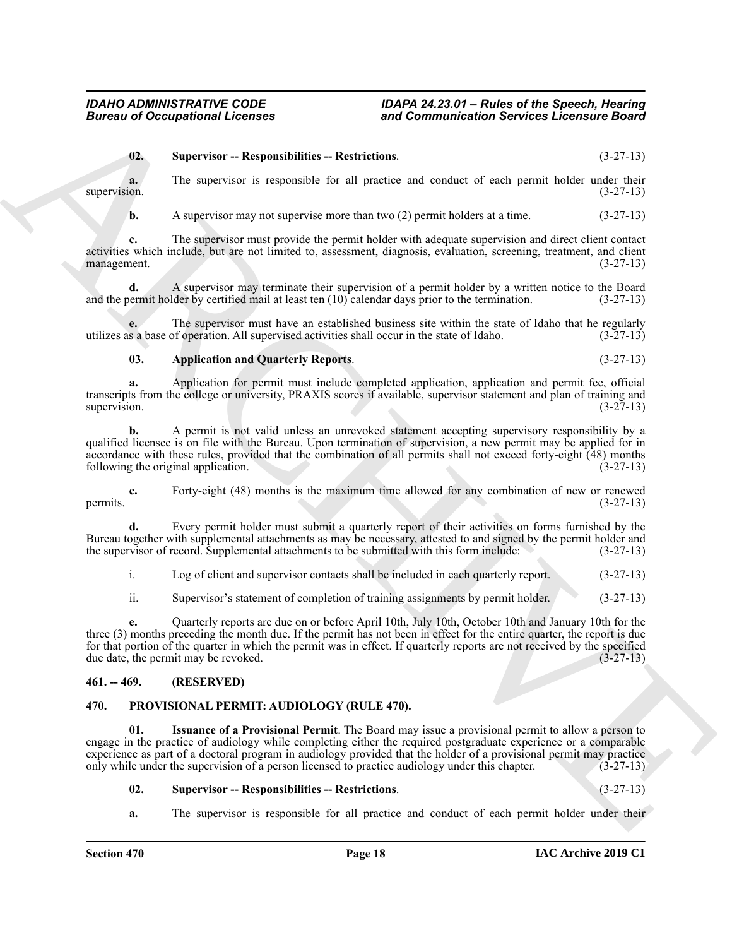#### <span id="page-17-6"></span>**02. Supervisor -- Responsibilities -- Restrictions**. (3-27-13)

**a.** The supervisor is responsible for all practice and conduct of each permit holder under their supervision. (3-27-13)

**b.** A supervisor may not supervise more than two (2) permit holders at a time.  $(3-27-13)$ 

**c.** The supervisor must provide the permit holder with adequate supervision and direct client contact activities which include, but are not limited to, assessment, diagnosis, evaluation, screening, treatment, and client management. (3-27-13)

**d.** A supervisor may terminate their supervision of a permit holder by a written notice to the Board and the permit holder by certified mail at least ten (10) calendar days prior to the termination. (3-27-13)

**e.** The supervisor must have an established business site within the state of Idaho that he regularly s a base of operation. All supervised activities shall occur in the state of Idaho.  $(3-27-13)$ utilizes as a base of operation. All supervised activities shall occur in the state of Idaho.

#### <span id="page-17-5"></span>**03. Application and Quarterly Reports**. (3-27-13)

**a.** Application for permit must include completed application, application and permit fee, official transcripts from the college or university, PRAXIS scores if available, supervisor statement and plan of training and supervision. (3-27-13) supervision.  $(3-27-13)$ 

**Eurosis of Occupational Licenses** and Commutation Services Licensine Board<br>
18. Supervisor – Responsibilities – Responsibilities – Responsibilities – Responsibilities – Responsibilities – Responsibilities – Responsibilit **b.** A permit is not valid unless an unrevoked statement accepting supervisory responsibility by a qualified licensee is on file with the Bureau. Upon termination of supervision, a new permit may be applied for in accordance with these rules, provided that the combination of all permits shall not exceed forty-eight  $(48)$  months following the original application.  $(3-27-13)$ following the original application.

**c.** Forty-eight (48) months is the maximum time allowed for any combination of new or renewed (3-27-13) permits.  $(3-27-13)$ 

**d.** Every permit holder must submit a quarterly report of their activities on forms furnished by the Bureau together with supplemental attachments as may be necessary, attested to and signed by the permit holder and the supervisor of record. Supplemental attachments to be submitted with this form include: (3-27-13)

i. Log of client and supervisor contacts shall be included in each quarterly report. (3-27-13)

ii. Supervisor's statement of completion of training assignments by permit holder. (3-27-13)

**e.** Quarterly reports are due on or before April 10th, July 10th, October 10th and January 10th for the three (3) months preceding the month due. If the permit has not been in effect for the entire quarter, the report is due for that portion of the quarter in which the permit was in effect. If quarterly reports are not received by the specified due date, the permit may be revoked.  $(3-27-13)$ 

#### <span id="page-17-0"></span>**461. -- 469. (RESERVED)**

#### <span id="page-17-2"></span><span id="page-17-1"></span>**470. PROVISIONAL PERMIT: AUDIOLOGY (RULE 470).**

**01. Issuance of a Provisional Permit**. The Board may issue a provisional permit to allow a person to engage in the practice of audiology while completing either the required postgraduate experience or a comparable experience as part of a doctoral program in audiology provided that the holder of a provisional permit may practice only while under the supervision of a person licensed to practice audiology under this chapter. (3-27-13)

#### <span id="page-17-4"></span><span id="page-17-3"></span>**02. Supervisor -- Responsibilities -- Restrictions**. (3-27-13)

**a.** The supervisor is responsible for all practice and conduct of each permit holder under their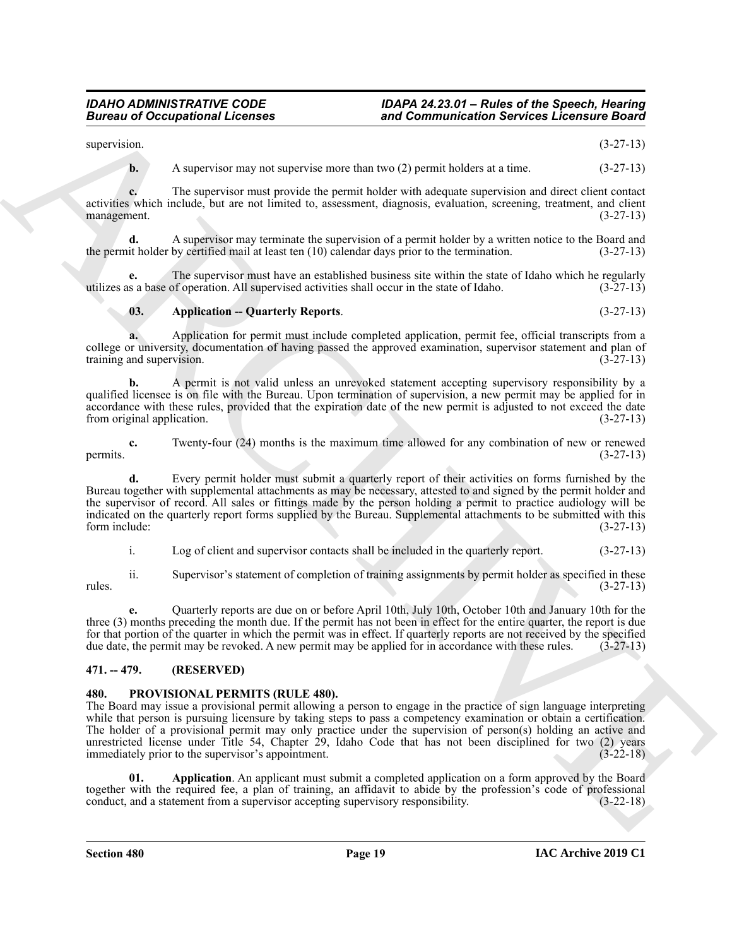supervision. (3-27-13)

**b.** A supervisor may not supervise more than two (2) permit holders at a time.  $(3-27-13)$ 

**c.** The supervisor must provide the permit holder with adequate supervision and direct client contact activities which include, but are not limited to, assessment, diagnosis, evaluation, screening, treatment, and client management. (3-27-13) management.

**d.** A supervisor may terminate the supervision of a permit holder by a written notice to the Board and the permit holder by certified mail at least ten (10) calendar days prior to the termination. (3-27-13)

The supervisor must have an established business site within the state of Idaho which he regularly of operation. All supervised activities shall occur in the state of Idaho. (3-27-13) utilizes as a base of operation. All supervised activities shall occur in the state of Idaho.

### <span id="page-18-2"></span>**03. Application -- Quarterly Reports**. (3-27-13)

**a.** Application for permit must include completed application, permit fee, official transcripts from a college or university, documentation of having passed the approved examination, supervisor statement and plan of training and supervision. (3-27-13)

**b.** A permit is not valid unless an unrevoked statement accepting supervisory responsibility by a qualified licensee is on file with the Bureau. Upon termination of supervision, a new permit may be applied for in accordance with these rules, provided that the expiration date of the new permit is adjusted to not exceed the date from original application. (3-27-13)

**c.** Twenty-four (24) months is the maximum time allowed for any combination of new or renewed (3-27-13) permits.  $(3-27-13)$ 

Bureau of Occupational Licensies<br>
samples and Commutation Services Licensin's Based<br>
samples are a proposition of the samples and the samples and the samples are a strong to the samples and the samples are a strong to the **d.** Every permit holder must submit a quarterly report of their activities on forms furnished by the Bureau together with supplemental attachments as may be necessary, attested to and signed by the permit holder and the supervisor of record. All sales or fittings made by the person holding a permit to practice audiology will be indicated on the quarterly report forms supplied by the Bureau. Supplemental attachments to be submitted with this form include: (3-27-13)

i. Log of client and supervisor contacts shall be included in the quarterly report. (3-27-13)

ii. Supervisor's statement of completion of training assignments by permit holder as specified in these rules. (3-27-13)

**e.** Quarterly reports are due on or before April 10th, July 10th, October 10th and January 10th for the three (3) months preceding the month due. If the permit has not been in effect for the entire quarter, the report is due for that portion of the quarter in which the permit was in effect. If quarterly reports are not received by the specified due date, the permit may be revoked. A new permit may be applied for in accordance with these rules. due date, the permit may be revoked. A new permit may be applied for in accordance with these rules.

### <span id="page-18-0"></span>**471. -- 479. (RESERVED)**

### <span id="page-18-3"></span><span id="page-18-1"></span>**480. PROVISIONAL PERMITS (RULE 480).**

The Board may issue a provisional permit allowing a person to engage in the practice of sign language interpreting while that person is pursuing licensure by taking steps to pass a competency examination or obtain a certification. The holder of a provisional permit may only practice under the supervision of person(s) holding an active and unrestricted license under Title 54, Chapter 29, Idaho Code that has not been disciplined for two (2) years immediately prior to the supervisor's appointment. (3-22-18)

<span id="page-18-4"></span>**01. Application**. An applicant must submit a completed application on a form approved by the Board together with the required fee, a plan of training, an affidavit to abide by the profession's code of professional conduct, and a statement from a supervisor accepting supervisory responsibility. (3-22-18)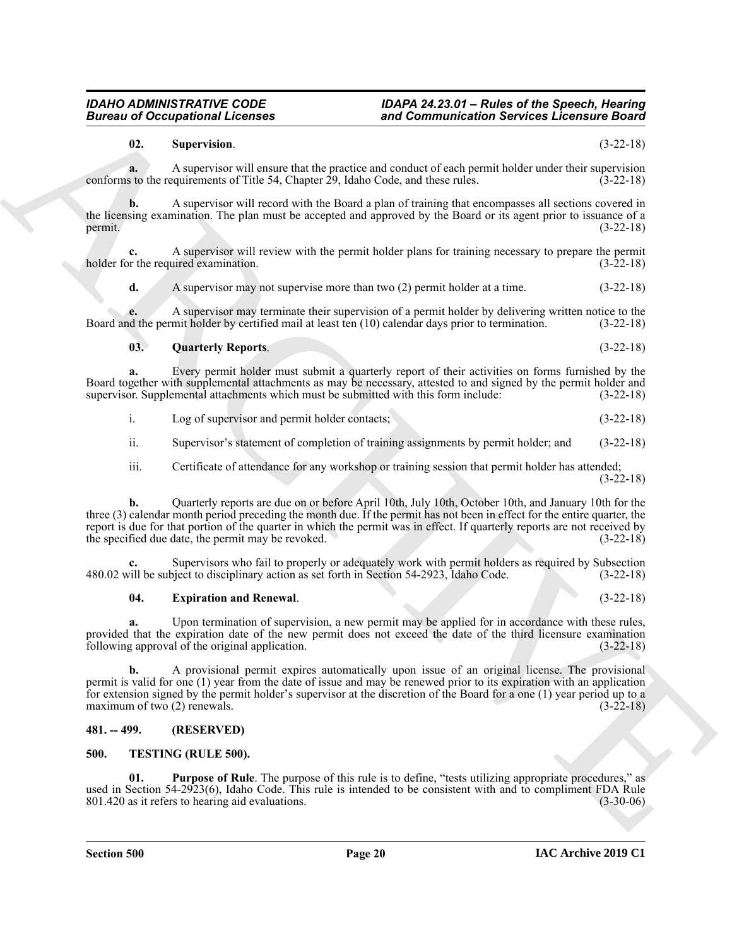### **Section 500 Page 20**

### **IAC Archive 2019 C1**

<span id="page-19-2"></span>**a.** Upon termination of supervision, a new permit may be applied for in accordance with these rules, provided that the expiration date of the new permit does not exceed the date of the third licensure examination following approval of the original application. (3-22-18)

**b.** A provisional permit expires automatically upon issue of an original license. The provisional permit is valid for one (1) year from the date of issue and may be renewed prior to its expiration with an application

for extension signed by the permit holder's supervisor at the discretion of the Board for a one (1) year period up to a maximum of two (2) renewals.  $(3-22-18)$ 

## <span id="page-19-0"></span>**481. -- 499. (RESERVED)**

### <span id="page-19-1"></span>**500. TESTING (RULE 500).**

<span id="page-19-6"></span><span id="page-19-5"></span>**01. Purpose of Rule**. The purpose of this rule is to define, "tests utilizing appropriate procedures," as

used in Section 54-2923(6), Idaho Code. This rule is intended to be consistent with and to compliment FDA Rule 801.420 as it refers to hearing aid evaluations. (3-30-06)

Bureau of Occupations and Commutation Services Leconsine Services 2018<br>
We are the summer of the summer of the summer of the summer holds and control of the summer of the summer of the summer of the summer of the summer o **c.** Supervisors who fail to properly or adequately work with permit holders as required by Subsection 480.02 will be subject to disciplinary action as set forth in Section 54-2923, Idaho Code. (3-22-18) **04. Expiration and Renewal**. (3-22-18)

three (3) calendar month period preceding the month due. If the permit has not been in effect for the entire quarter, the report is due for that portion of the quarter in which the permit was in effect. If quarterly reports are not received by the specified due date, the permit may be revoked. (3-22-18)

Board together with supplemental attachments as may be necessary, attested to and signed by the permit holder and supervisor. Supplemental attachments which must be submitted with this form include: (3-22-18) supervisor. Supplemental attachments which must be submitted with this form include:

- i. Log of supervisor and permit holder contacts; (3-22-18)
- ii. Supervisor's statement of completion of training assignments by permit holder; and (3-22-18)

**b.** Quarterly reports are due on or before April 10th, July 10th, October 10th, and January 10th for the

- 
- iii. Certificate of attendance for any workshop or training session that permit holder has attended;

*Bureau of Occupational Licenses and Communication Services Licensure Board*

(3-22-18)

**a.** A supervisor will ensure that the practice and conduct of each permit holder under their supervision conforms to the requirements of Title 54, Chapter 29, Idaho Code, and these rules. (3-22-18)

*IDAHO ADMINISTRATIVE CODE IDAPA 24.23.01 – Rules of the Speech, Hearing*

**b.** A supervisor will record with the Board a plan of training that encompasses all sections covered in the licensing examination. The plan must be accepted and approved by the Board or its agent prior to issuance of a

**e.** A supervisor may terminate their supervision of a permit holder by delivering written notice to the

permit.  $(3-22-18)$ 

**c.** A supervisor will review with the permit holder plans for training necessary to prepare the permit holder for the required examination.

**d.** A supervisor may not supervise more than two (2) permit holder at a time.  $(3-22-18)$ 

<span id="page-19-3"></span>**03. Quarterly Reports**. (3-22-18)

**a.** Every permit holder must submit a quarterly report of their activities on forms furnished by the

Board and the permit holder by certified mail at least ten (10) calendar days prior to termination. (3-22-18)

# <span id="page-19-4"></span>**02. Supervision**. (3-22-18)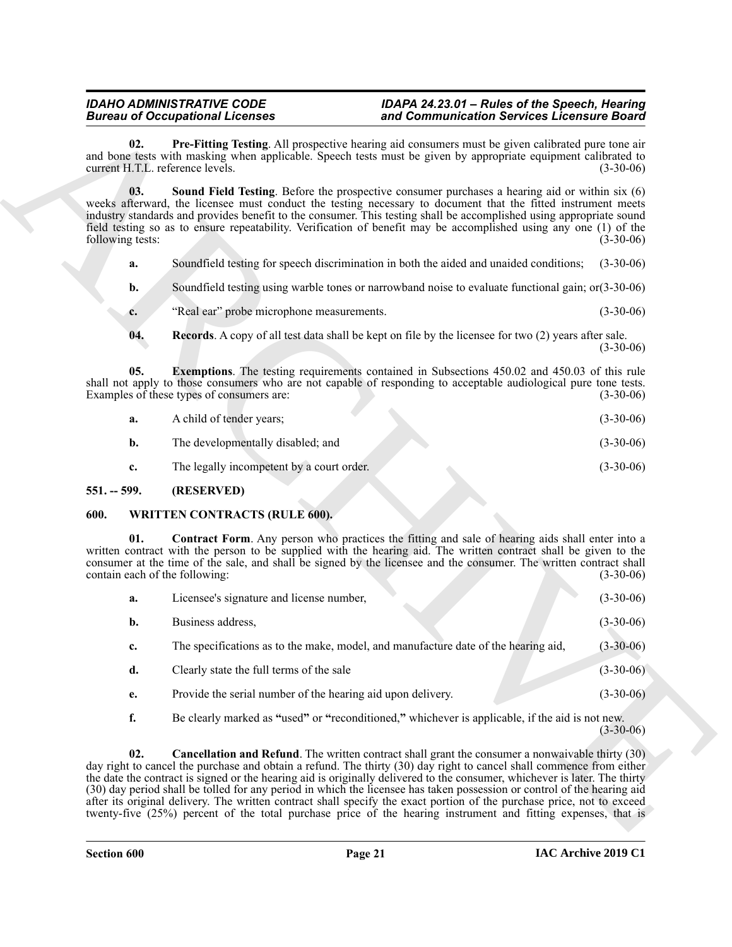- <span id="page-20-5"></span><span id="page-20-3"></span>**a.** Soundfield testing for speech discrimination in both the aided and unaided conditions; (3-30-06)
- **b.** Soundfield testing using warble tones or narrowband noise to evaluate functional gain; or(3-30-06)
- <span id="page-20-4"></span>**c.** "Real ear" probe microphone measurements. (3-30-06)
- <span id="page-20-2"></span>**04. Records**. A copy of all test data shall be kept on file by the licensee for two (2) years after sale. (3-30-06)

| A child of tender years;          |  | $(3-30-06)$ |
|-----------------------------------|--|-------------|
| The developmentally disabled; and |  | $(3-30-06)$ |

### <span id="page-20-0"></span>**551. -- 599. (RESERVED)**

#### <span id="page-20-8"></span><span id="page-20-7"></span><span id="page-20-6"></span><span id="page-20-1"></span>**600. WRITTEN CONTRACTS (RULE 600).**

| <b>Bureau of Occupational Licenses</b>  |                                                                                                                                                                                                                                                                                                                                                                                                                                                                                                                                                                                                                                                                                                                                      | and Communication Services Licensure Board |             |  |  |  |
|-----------------------------------------|--------------------------------------------------------------------------------------------------------------------------------------------------------------------------------------------------------------------------------------------------------------------------------------------------------------------------------------------------------------------------------------------------------------------------------------------------------------------------------------------------------------------------------------------------------------------------------------------------------------------------------------------------------------------------------------------------------------------------------------|--------------------------------------------|-------------|--|--|--|
| 02.<br>current H.T.L. reference levels. | Pre-Fitting Testing. All prospective hearing aid consumers must be given calibrated pure tone air<br>and bone tests with masking when applicable. Speech tests must be given by appropriate equipment calibrated to                                                                                                                                                                                                                                                                                                                                                                                                                                                                                                                  |                                            | $(3-30-06)$ |  |  |  |
| 03.<br>following tests:                 | <b>Sound Field Testing.</b> Before the prospective consumer purchases a hearing aid or within six (6)<br>weeks afterward, the licensee must conduct the testing necessary to document that the fitted instrument meets<br>industry standards and provides benefit to the consumer. This testing shall be accomplished using appropriate sound<br>field testing so as to ensure repeatability. Verification of benefit may be accomplished using any one (1) of the                                                                                                                                                                                                                                                                   |                                            | $(3-30-06)$ |  |  |  |
| a.                                      | Soundfield testing for speech discrimination in both the aided and unaided conditions;                                                                                                                                                                                                                                                                                                                                                                                                                                                                                                                                                                                                                                               |                                            | $(3-30-06)$ |  |  |  |
| b.                                      | Soundfield testing using warble tones or narrowband noise to evaluate functional gain; or (3-30-06)                                                                                                                                                                                                                                                                                                                                                                                                                                                                                                                                                                                                                                  |                                            |             |  |  |  |
| c.                                      | "Real ear" probe microphone measurements.                                                                                                                                                                                                                                                                                                                                                                                                                                                                                                                                                                                                                                                                                            |                                            | $(3-30-06)$ |  |  |  |
| 04.                                     | <b>Records.</b> A copy of all test data shall be kept on file by the licensee for two (2) years after sale.                                                                                                                                                                                                                                                                                                                                                                                                                                                                                                                                                                                                                          |                                            | $(3-30-06)$ |  |  |  |
| 05.                                     | <b>Exemptions.</b> The testing requirements contained in Subsections 450.02 and 450.03 of this rule<br>shall not apply to those consumers who are not capable of responding to acceptable audiological pure tone tests.<br>Examples of these types of consumers are:                                                                                                                                                                                                                                                                                                                                                                                                                                                                 |                                            | $(3-30-06)$ |  |  |  |
| a.                                      | A child of tender years;                                                                                                                                                                                                                                                                                                                                                                                                                                                                                                                                                                                                                                                                                                             |                                            | $(3-30-06)$ |  |  |  |
| b.                                      | The developmentally disabled; and                                                                                                                                                                                                                                                                                                                                                                                                                                                                                                                                                                                                                                                                                                    |                                            | $(3-30-06)$ |  |  |  |
| c.                                      | The legally incompetent by a court order.                                                                                                                                                                                                                                                                                                                                                                                                                                                                                                                                                                                                                                                                                            |                                            | $(3-30-06)$ |  |  |  |
| $551. - 599.$                           | (RESERVED)                                                                                                                                                                                                                                                                                                                                                                                                                                                                                                                                                                                                                                                                                                                           |                                            |             |  |  |  |
| 600.                                    | <b>WRITTEN CONTRACTS (RULE 600).</b>                                                                                                                                                                                                                                                                                                                                                                                                                                                                                                                                                                                                                                                                                                 |                                            |             |  |  |  |
| 01.<br>contain each of the following:   | <b>Contract Form.</b> Any person who practices the fitting and sale of hearing aids shall enter into a<br>written contract with the person to be supplied with the hearing aid. The written contract shall be given to the<br>consumer at the time of the sale, and shall be signed by the licensee and the consumer. The written contract shall                                                                                                                                                                                                                                                                                                                                                                                     |                                            | $(3-30-06)$ |  |  |  |
| a.                                      | Licensee's signature and license number,                                                                                                                                                                                                                                                                                                                                                                                                                                                                                                                                                                                                                                                                                             |                                            | $(3-30-06)$ |  |  |  |
| b.                                      | Business address,                                                                                                                                                                                                                                                                                                                                                                                                                                                                                                                                                                                                                                                                                                                    |                                            | $(3-30-06)$ |  |  |  |
| c.                                      | The specifications as to the make, model, and manufacture date of the hearing aid,                                                                                                                                                                                                                                                                                                                                                                                                                                                                                                                                                                                                                                                   |                                            | $(3-30-06)$ |  |  |  |
| d.                                      | Clearly state the full terms of the sale                                                                                                                                                                                                                                                                                                                                                                                                                                                                                                                                                                                                                                                                                             |                                            | $(3-30-06)$ |  |  |  |
| e.                                      | Provide the serial number of the hearing aid upon delivery.                                                                                                                                                                                                                                                                                                                                                                                                                                                                                                                                                                                                                                                                          |                                            | $(3-30-06)$ |  |  |  |
| f.                                      | Be clearly marked as "used" or "reconditioned," whichever is applicable, if the aid is not new.                                                                                                                                                                                                                                                                                                                                                                                                                                                                                                                                                                                                                                      |                                            | $(3-30-06)$ |  |  |  |
| 02.                                     | <b>Cancellation and Refund</b> . The written contract shall grant the consumer a nonwaivable thirty (30)<br>day right to cancel the purchase and obtain a refund. The thirty (30) day right to cancel shall commence from either<br>the date the contract is signed or the hearing aid is originally delivered to the consumer, whichever is later. The thirty<br>(30) day period shall be tolled for any period in which the licensee has taken possession or control of the hearing aid<br>after its original delivery. The written contract shall specify the exact portion of the purchase price, not to exceed<br>twenty-five (25%) percent of the total purchase price of the hearing instrument and fitting expenses, that is |                                            |             |  |  |  |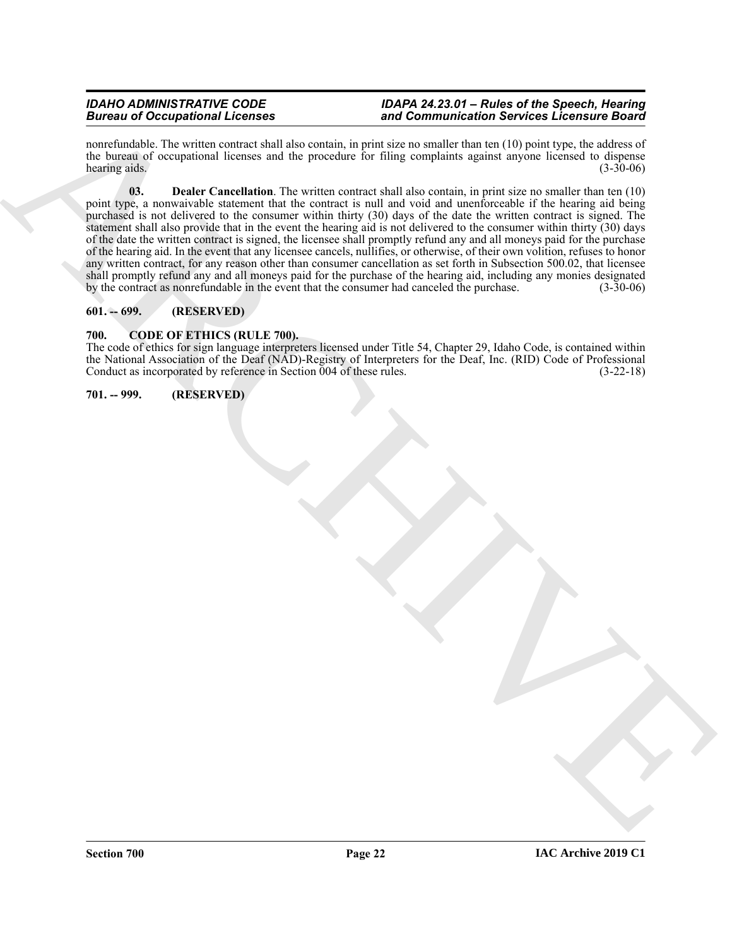<span id="page-21-4"></span>nonrefundable. The written contract shall also contain, in print size no smaller than ten (10) point type, the address of the bureau of occupational licenses and the procedure for filing complaints against anyone licensed to dispense hearing aids. (3-30-06)

Because of Occupational Licenses<br>
The computer state of the property and the property of the property and the computer state of the computer state of the property of the computer state of the computer state of the compute **03. Dealer Cancellation**. The written contract shall also contain, in print size no smaller than ten (10) point type, a nonwaivable statement that the contract is null and void and unenforceable if the hearing aid being purchased is not delivered to the consumer within thirty (30) days of the date the written contract is signed. The statement shall also provide that in the event the hearing aid is not delivered to the consumer within thirty (30) days of the date the written contract is signed, the licensee shall promptly refund any and all moneys paid for the purchase of the hearing aid. In the event that any licensee cancels, nullifies, or otherwise, of their own volition, refuses to honor any written contract, for any reason other than consumer cancellation as set forth in Subsection 500.02, that licensee shall promptly refund any and all moneys paid for the purchase of the hearing aid, including any monies designated<br>by the contract as nonrefundable in the event that the consumer had canceled the purchase. (3-30-06) by the contract as nonrefundable in the event that the consumer had canceled the purchase.

### <span id="page-21-0"></span>**601. -- 699. (RESERVED)**

#### <span id="page-21-3"></span><span id="page-21-1"></span>**700. CODE OF ETHICS (RULE 700).**

The code of ethics for sign language interpreters licensed under Title 54, Chapter 29, Idaho Code, is contained within the National Association of the Deaf (NAD)-Registry of Interpreters for the Deaf, Inc. (RID) Code of Professional Conduct as incorporated by reference in Section 004 of these rules. (3-22-18)

### <span id="page-21-2"></span>**701. -- 999. (RESERVED)**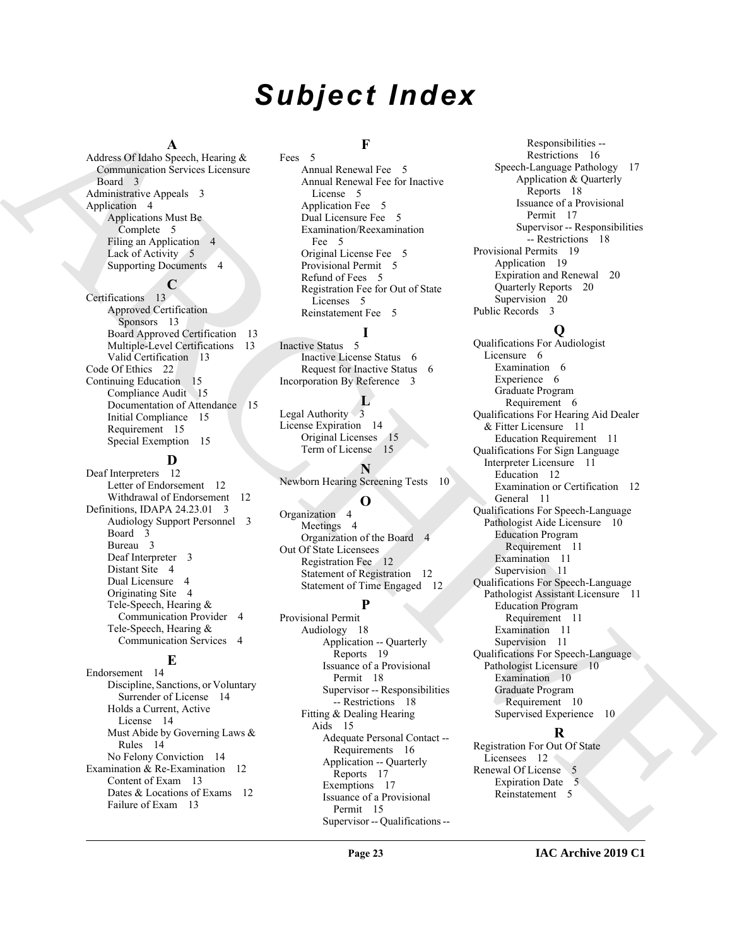# *Subject Index*

#### **A**

Address Of Idaho Speech, Hearing & Communication Services Licensure Board 3 Administrative Appeals 3 Application 4 Applications Must Be Complete 5 Filing an Application 4 Lack of Activity 5 Supporting Documents 4

# **C**

Certifications 13 Approved Certification Sponsors 13 Board Approved Certification 13 Multiple-Level Certifications 13 Valid Certification 13 Code Of Ethics 22 Continuing Education 15 Compliance Audit 15 Documentation of Attendance 15 Initial Compliance 15 Requirement 15 Special Exemption 15

# **D**

Deaf Interpreters 12 Letter of Endorsement 12 Withdrawal of Endorsement 12 Definitions, IDAPA 24.23.01 3 Audiology Support Personnel 3 Board 3 Bureau 3 Deaf Interpreter 3 Distant Site 4 Dual Licensure 4 Originating Site 4 Tele-Speech, Hearing & Communication Provider 4 Tele-Speech, Hearing & Communication Services 4

### **E**

Endorsement 14 Discipline, Sanctions, or Voluntary Surrender of License 14 Holds a Current, Active License 14 Must Abide by Governing Laws & Rules 14 No Felony Conviction 14 Examination & Re-Examination 12 Content of Exam 13 Dates & Locations of Exams 12 Failure of Exam 13

# **F**

Fees 5 Annual Renewal Fee 5 Annual Renewal Fee for Inactive License 5 Application Fee 5 Dual Licensure Fee 5 Examination/Reexamination Fee 5 Original License Fee 5 Provisional Permit 5 Refund of Fees 5 Registration Fee for Out of State Licenses 5 Reinstatement Fee 5

Inactive Status 5 Inactive License Status 6 Request for Inactive Status 6 Incorporation By Reference 3

#### **L**

**I**

Legal Authority 3 License Expiration 14 Original Licenses 15 Term of License 15

**N** Newborn Hearing Screening Tests 10

### **O**

Organization 4 Meetings 4 Organization of the Board 4 Out Of State Licensees Registration Fee 12 Statement of Registration 12 Statement of Time Engaged 12

# **P**

Provisional Permit Audiology 18 Application -- Quarterly Reports 19 Issuance of a Provisional Permit 18 Supervisor -- Responsibilities -- Restrictions 18 Fitting & Dealing Hearing Aids 15 Adequate Personal Contact -- Requirements 16 Application -- Quarterly Reports 17 Exemptions 17 Issuance of a Provisional Permit 15 Supervisor -- Qualifications --

Responsibilities -- Restrictions 16 Speech-Language Pathology 17 Application & Quarterly Reports 18 Issuance of a Provisional Permit 17 Supervisor -- Responsibilities -- Restrictions 18 Provisional Permits 19 Application 19 Expiration and Renewal 20 Quarterly Reports 20 Supervision 20 Public Records 3

# **Q**

[A](#page-2-10)dison Observations (a)  $\frac{1}{2}$ <br> [C](#page-5-3)ommercial Seconds (a)  $\frac{1}{2}$ <br>
Commercial Seconds (a)  $\frac{1}{2}$ <br>
A[R](#page-12-2)C[H](#page-13-11)[I](#page-10-10)[V](#page-10-14)[E](#page-9-9)ST COMMUNIST COMMUNIST COMMUNIST CONTINUES (a)  $\frac{1}{2}$ <br>
ARCHIVEST COMMUNIST CONTINUES (a)  $\frac{1}{2}$ <br>
ARCHIVES Qualifications For Audiologist Licensure 6 Examination 6 Experience 6 Graduate Program Requirement 6 Qualifications For Hearing Aid Dealer & Fitter Licensure 11 Education Requirement 11 Qualifications For Sign Language Interpreter Licensure 11 Education 12 Examination or Certification 12 General 11 Qualifications For Speech-Language Pathologist Aide Licensure 10 Education Program Requirement 11 Examination 11 Supervision 11 Qualifications For Speech-Language Pathologist Assistant Licensure 11 Education Program Requirement 11 Examination 11 Supervision 11 Qualifications For Speech-Language Pathologist Licensure 10 Examination 10 Graduate Program Requirement 10 Supervised Experience 10

## **R**

Registration For Out Of State Licensees 12 Renewal Of License 5 Expiration Date 5 Reinstatement 5